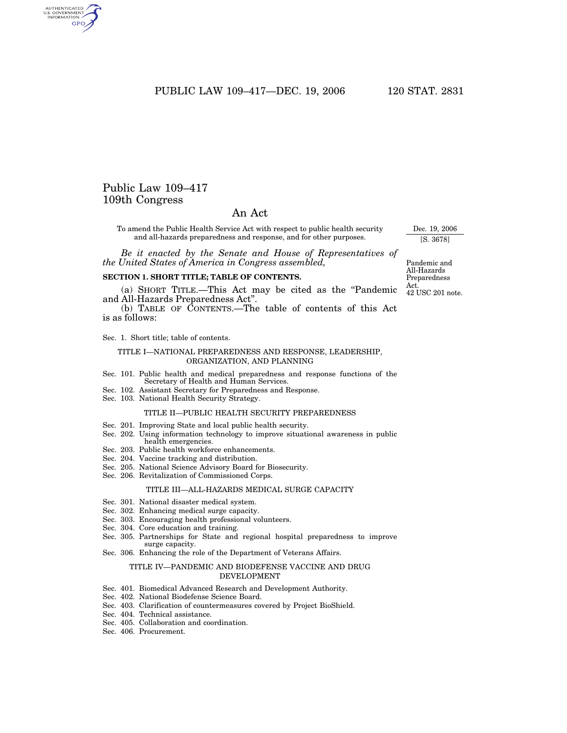## PUBLIC LAW 109-417-DEC. 19, 2006 120 STAT. 2831

## Public Law 109–417 109th Congress

AUTHENTICATED<br>U.S. GOVERNMENT<br>INFORMATION GPO

## An Act

To amend the Public Health Service Act with respect to public health security and all-hazards preparedness and response, and for other purposes.

*Be it enacted by the Senate and House of Representatives of the United States of America in Congress assembled,*

#### **SECTION 1. SHORT TITLE; TABLE OF CONTENTS.**

(a) SHORT TITLE.—This Act may be cited as the ''Pandemic and All-Hazards Preparedness Act''.

(b) TABLE OF CONTENTS.—The table of contents of this Act is as follows:

Sec. 1. Short title; table of contents.

#### TITLE I—NATIONAL PREPAREDNESS AND RESPONSE, LEADERSHIP, ORGANIZATION, AND PLANNING

- Sec. 101. Public health and medical preparedness and response functions of the Secretary of Health and Human Services.
- Sec. 102. Assistant Secretary for Preparedness and Response.
- Sec. 103. National Health Security Strategy.

#### TITLE II—PUBLIC HEALTH SECURITY PREPAREDNESS

- Sec. 201. Improving State and local public health security.
- Sec. 202. Using information technology to improve situational awareness in public health emergencies.
- Sec. 203. Public health workforce enhancements.
- Sec. 204. Vaccine tracking and distribution.
- Sec. 205. National Science Advisory Board for Biosecurity.
- Sec. 206. Revitalization of Commissioned Corps.

#### TITLE III—ALL-HAZARDS MEDICAL SURGE CAPACITY

- Sec. 301. National disaster medical system.
- Sec. 302. Enhancing medical surge capacity.
- Sec. 303. Encouraging health professional volunteers.
- Sec. 304. Core education and training.
- Sec. 305. Partnerships for State and regional hospital preparedness to improve surge capacity.
- Sec. 306. Enhancing the role of the Department of Veterans Affairs.

#### TITLE IV—PANDEMIC AND BIODEFENSE VACCINE AND DRUG DEVELOPMENT

- Sec. 401. Biomedical Advanced Research and Development Authority.
- Sec. 402. National Biodefense Science Board.
- Sec. 403. Clarification of countermeasures covered by Project BioShield.
- Sec. 404. Technical assistance.
- Sec. 405. Collaboration and coordination.
- Sec. 406. Procurement.

Pandemic and All-Hazards Preparedness Act. 42 USC 201 note.

Dec. 19, 2006 [S. 3678]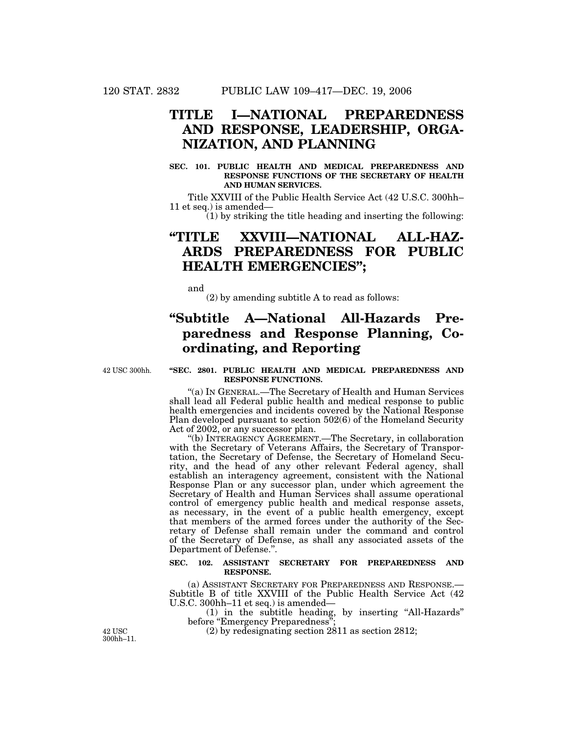# **TITLE I—NATIONAL PREPAREDNESS AND RESPONSE, LEADERSHIP, ORGA-NIZATION, AND PLANNING**

#### **SEC. 101. PUBLIC HEALTH AND MEDICAL PREPAREDNESS AND RESPONSE FUNCTIONS OF THE SECRETARY OF HEALTH AND HUMAN SERVICES.**

Title XXVIII of the Public Health Service Act (42 U.S.C. 300hh– 11 et seq.) is amended—

 $(1)$  by striking the title heading and inserting the following:

# **''TITLE XXVIII—NATIONAL ALL-HAZ-ARDS PREPAREDNESS FOR PUBLIC HEALTH EMERGENCIES'';**

and

(2) by amending subtitle A to read as follows:

# **''Subtitle A—National All-Hazards Preparedness and Response Planning, Coordinating, and Reporting**

42 USC 300hh.

#### **''SEC. 2801. PUBLIC HEALTH AND MEDICAL PREPAREDNESS AND RESPONSE FUNCTIONS.**

''(a) IN GENERAL.—The Secretary of Health and Human Services shall lead all Federal public health and medical response to public health emergencies and incidents covered by the National Response Plan developed pursuant to section 502(6) of the Homeland Security Act of 2002, or any successor plan.

''(b) INTERAGENCY AGREEMENT.—The Secretary, in collaboration with the Secretary of Veterans Affairs, the Secretary of Transportation, the Secretary of Defense, the Secretary of Homeland Security, and the head of any other relevant Federal agency, shall establish an interagency agreement, consistent with the National Response Plan or any successor plan, under which agreement the Secretary of Health and Human Services shall assume operational control of emergency public health and medical response assets, as necessary, in the event of a public health emergency, except that members of the armed forces under the authority of the Secretary of Defense shall remain under the command and control of the Secretary of Defense, as shall any associated assets of the Department of Defense.''.

#### **SEC. 102. ASSISTANT SECRETARY FOR PREPAREDNESS AND RESPONSE.**

(a) ASSISTANT SECRETARY FOR PREPAREDNESS AND RESPONSE.— Subtitle B of title XXVIII of the Public Health Service Act (42 U.S.C. 300hh–11 et seq.) is amended—

(1) in the subtitle heading, by inserting ''All-Hazards'' before "Emergency Preparedness"

42 USC (2) by redesignating section 2811 as section 2812;

300hh–11.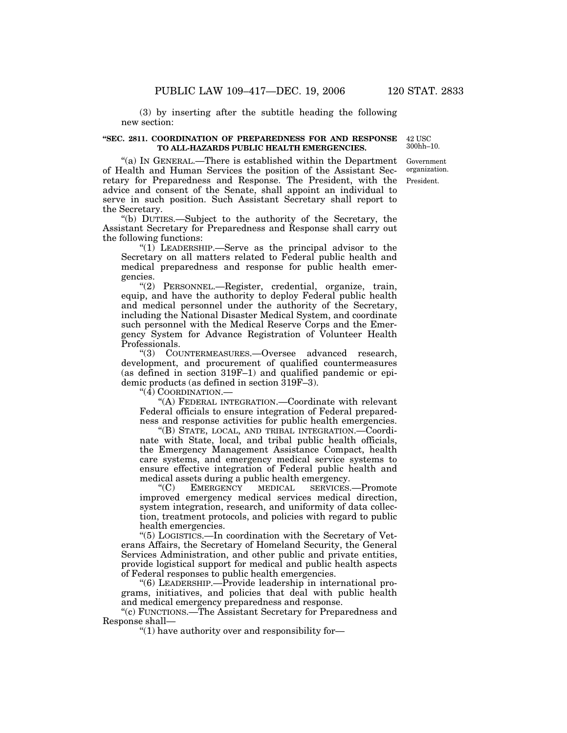(3) by inserting after the subtitle heading the following

new section:

#### **''SEC. 2811. COORDINATION OF PREPAREDNESS FOR AND RESPONSE TO ALL-HAZARDS PUBLIC HEALTH EMERGENCIES.**

42 USC 300hh–10.

"(a) IN GENERAL.—There is established within the Department of Health and Human Services the position of the Assistant Secretary for Preparedness and Response. The President, with the advice and consent of the Senate, shall appoint an individual to serve in such position. Such Assistant Secretary shall report to the Secretary.

''(b) DUTIES.—Subject to the authority of the Secretary, the Assistant Secretary for Preparedness and Response shall carry out the following functions:

" $(1)$  LEADERSHIP.—Serve as the principal advisor to the Secretary on all matters related to Federal public health and medical preparedness and response for public health emergencies.

''(2) PERSONNEL.—Register, credential, organize, train, equip, and have the authority to deploy Federal public health and medical personnel under the authority of the Secretary, including the National Disaster Medical System, and coordinate such personnel with the Medical Reserve Corps and the Emergency System for Advance Registration of Volunteer Health Professionals.

''(3) COUNTERMEASURES.—Oversee advanced research, development, and procurement of qualified countermeasures (as defined in section 319F–1) and qualified pandemic or epidemic products (as defined in section 319F–3).

" $(\tilde{4})$  COORDINATION.

''(A) FEDERAL INTEGRATION.—Coordinate with relevant Federal officials to ensure integration of Federal preparedness and response activities for public health emergencies.

''(B) STATE, LOCAL, AND TRIBAL INTEGRATION.—Coordinate with State, local, and tribal public health officials, the Emergency Management Assistance Compact, health care systems, and emergency medical service systems to ensure effective integration of Federal public health and medical assets during a public health emergency.<br>
"(C) EMERGENCY MEDICAL SERVICES.

''(C) EMERGENCY MEDICAL SERVICES.—Promote improved emergency medical services medical direction, system integration, research, and uniformity of data collection, treatment protocols, and policies with regard to public health emergencies.

''(5) LOGISTICS.—In coordination with the Secretary of Veterans Affairs, the Secretary of Homeland Security, the General Services Administration, and other public and private entities, provide logistical support for medical and public health aspects of Federal responses to public health emergencies.

''(6) LEADERSHIP.—Provide leadership in international programs, initiatives, and policies that deal with public health and medical emergency preparedness and response.

''(c) FUNCTIONS.—The Assistant Secretary for Preparedness and Response shall—

''(1) have authority over and responsibility for—

President. Government organization.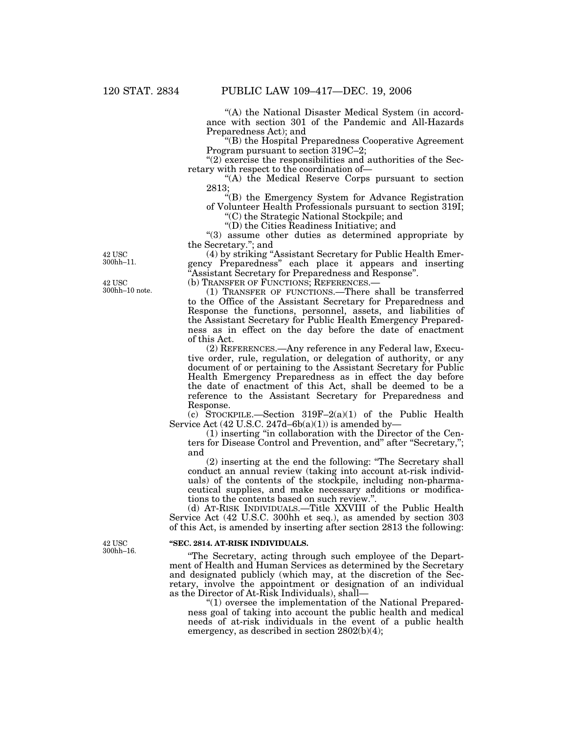"(A) the National Disaster Medical System (in accordance with section 301 of the Pandemic and All-Hazards Preparedness Act); and

''(B) the Hospital Preparedness Cooperative Agreement Program pursuant to section 319C–2;

" $(2)$  exercise the responsibilities and authorities of the Secretary with respect to the coordination of—

''(A) the Medical Reserve Corps pursuant to section 2813;

''(B) the Emergency System for Advance Registration of Volunteer Health Professionals pursuant to section 319I;

''(C) the Strategic National Stockpile; and

''(D) the Cities Readiness Initiative; and

''(3) assume other duties as determined appropriate by the Secretary.''; and

(4) by striking ''Assistant Secretary for Public Health Emergency Preparedness'' each place it appears and inserting ''Assistant Secretary for Preparedness and Response''.

(b) TRANSFER OF FUNCTIONS; REFERENCES.—

(1) TRANSFER OF FUNCTIONS.—There shall be transferred to the Office of the Assistant Secretary for Preparedness and Response the functions, personnel, assets, and liabilities of the Assistant Secretary for Public Health Emergency Preparedness as in effect on the day before the date of enactment of this Act.

(2) REFERENCES.—Any reference in any Federal law, Executive order, rule, regulation, or delegation of authority, or any document of or pertaining to the Assistant Secretary for Public Health Emergency Preparedness as in effect the day before the date of enactment of this Act, shall be deemed to be a reference to the Assistant Secretary for Preparedness and Response.

(c) STOCKPILE.—Section  $319F-2(a)(1)$  of the Public Health Service Act (42 U.S.C. 247d-6b(a)(1)) is amended by-

(1) inserting ''in collaboration with the Director of the Centers for Disease Control and Prevention, and'' after ''Secretary,''; and

(2) inserting at the end the following: ''The Secretary shall conduct an annual review (taking into account at-risk individuals) of the contents of the stockpile, including non-pharmaceutical supplies, and make necessary additions or modifications to the contents based on such review.''.

(d) AT-RISK INDIVIDUALS.—Title XXVIII of the Public Health Service Act (42 U.S.C. 300hh et seq.), as amended by section 303 of this Act, is amended by inserting after section 2813 the following:

#### **''SEC. 2814. AT-RISK INDIVIDUALS.**

''The Secretary, acting through such employee of the Department of Health and Human Services as determined by the Secretary and designated publicly (which may, at the discretion of the Secretary, involve the appointment or designation of an individual as the Director of At-Risk Individuals), shall—

''(1) oversee the implementation of the National Preparedness goal of taking into account the public health and medical needs of at-risk individuals in the event of a public health emergency, as described in section 2802(b)(4);

42 USC 300hh–11.

42 USC 300hh–10 note.

**42 USC** 300hh–16.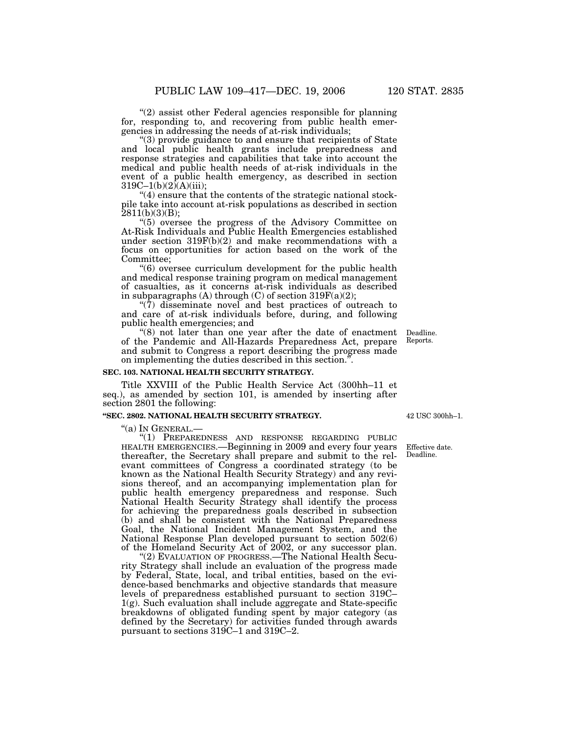"(2) assist other Federal agencies responsible for planning for, responding to, and recovering from public health emergencies in addressing the needs of at-risk individuals;

(3) provide guidance to and ensure that recipients of State and local public health grants include preparedness and response strategies and capabilities that take into account the medical and public health needs of at-risk individuals in the event of a public health emergency, as described in section  $319C-1(b)(2)(A)(iii);$ 

''(4) ensure that the contents of the strategic national stockpile take into account at-risk populations as described in section  $2811(b)(3)(B);$ 

''(5) oversee the progress of the Advisory Committee on At-Risk Individuals and Public Health Emergencies established under section 319F(b)(2) and make recommendations with a focus on opportunities for action based on the work of the Committee;

 $(6)$  oversee curriculum development for the public health and medical response training program on medical management of casualties, as it concerns at-risk individuals as described in subparagraphs (A) through (C) of section 319 $F(a)(2)$ ;

" $(7)$  disseminate novel and best practices of outreach to and care of at-risk individuals before, during, and following public health emergencies; and

''(8) not later than one year after the date of enactment of the Pandemic and All-Hazards Preparedness Act, prepare and submit to Congress a report describing the progress made on implementing the duties described in this section.'

### **SEC. 103. NATIONAL HEALTH SECURITY STRATEGY.**

Title XXVIII of the Public Health Service Act (300hh–11 et seq.), as amended by section 101, is amended by inserting after section 2801 the following:

#### **''SEC. 2802. NATIONAL HEALTH SECURITY STRATEGY.**

''(a) IN GENERAL.— ''(1) PREPAREDNESS AND RESPONSE REGARDING PUBLIC HEALTH EMERGENCIES.—Beginning in 2009 and every four years thereafter, the Secretary shall prepare and submit to the relevant committees of Congress a coordinated strategy (to be known as the National Health Security Strategy) and any revisions thereof, and an accompanying implementation plan for public health emergency preparedness and response. Such National Health Security Strategy shall identify the process for achieving the preparedness goals described in subsection (b) and shall be consistent with the National Preparedness Goal, the National Incident Management System, and the National Response Plan developed pursuant to section 502(6) of the Homeland Security Act of 2002, or any successor plan.

''(2) EVALUATION OF PROGRESS.—The National Health Security Strategy shall include an evaluation of the progress made by Federal, State, local, and tribal entities, based on the evidence-based benchmarks and objective standards that measure levels of preparedness established pursuant to section 319C–  $1(g)$ . Such evaluation shall include aggregate and State-specific breakdowns of obligated funding spent by major category (as defined by the Secretary) for activities funded through awards pursuant to sections 319C–1 and 319C–2.

42 USC 300hh–1.

Deadline. Reports.

Effective date. Deadline.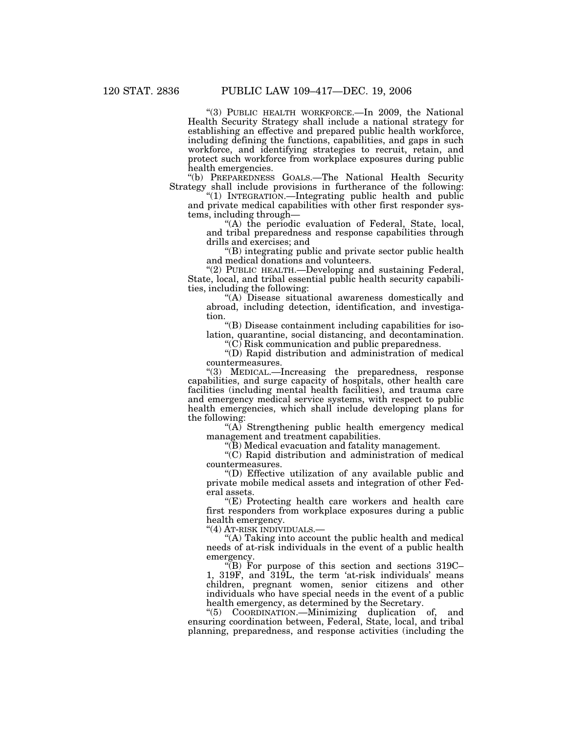''(3) PUBLIC HEALTH WORKFORCE.—In 2009, the National Health Security Strategy shall include a national strategy for establishing an effective and prepared public health workforce, including defining the functions, capabilities, and gaps in such workforce, and identifying strategies to recruit, retain, and protect such workforce from workplace exposures during public health emergencies.

''(b) PREPAREDNESS GOALS.—The National Health Security Strategy shall include provisions in furtherance of the following:

''(1) INTEGRATION.—Integrating public health and public and private medical capabilities with other first responder systems, including through—

''(A) the periodic evaluation of Federal, State, local, and tribal preparedness and response capabilities through drills and exercises; and

''(B) integrating public and private sector public health and medical donations and volunteers.

"(2) PUBLIC HEALTH.—Developing and sustaining Federal, State, local, and tribal essential public health security capabilities, including the following:

''(A) Disease situational awareness domestically and abroad, including detection, identification, and investigation.

''(B) Disease containment including capabilities for isolation, quarantine, social distancing, and decontamination.

''(C) Risk communication and public preparedness.

''(D) Rapid distribution and administration of medical countermeasures.

''(3) MEDICAL.—Increasing the preparedness, response capabilities, and surge capacity of hospitals, other health care facilities (including mental health facilities), and trauma care and emergency medical service systems, with respect to public health emergencies, which shall include developing plans for the following:

 $(A)$  Strengthening public health emergency medical management and treatment capabilities.

''(B) Medical evacuation and fatality management.

''(C) Rapid distribution and administration of medical countermeasures.

''(D) Effective utilization of any available public and private mobile medical assets and integration of other Federal assets.

"(E) Protecting health care workers and health care first responders from workplace exposures during a public health emergency.

''(4) AT-RISK INDIVIDUALS.—

"(A) Taking into account the public health and medical needs of at-risk individuals in the event of a public health emergency.

''(B) For purpose of this section and sections 319C– 1, 319F, and 319L, the term 'at-risk individuals' means children, pregnant women, senior citizens and other individuals who have special needs in the event of a public health emergency, as determined by the Secretary.

''(5) COORDINATION.—Minimizing duplication of, and ensuring coordination between, Federal, State, local, and tribal planning, preparedness, and response activities (including the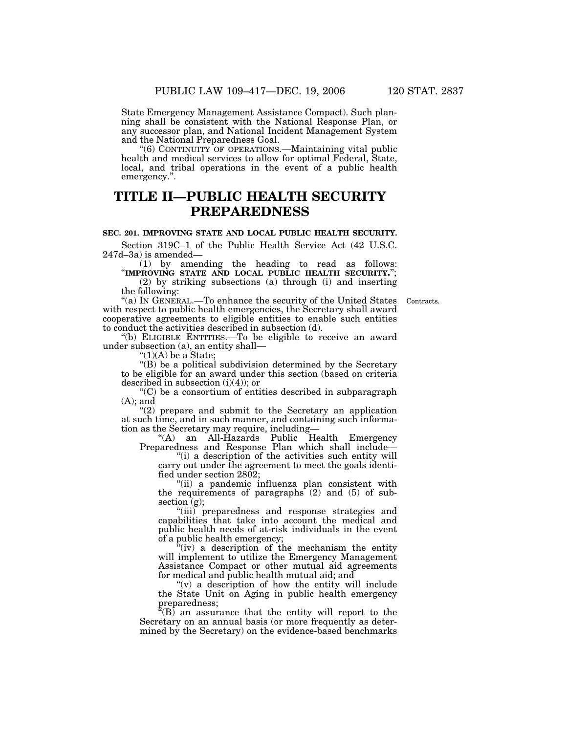State Emergency Management Assistance Compact). Such planning shall be consistent with the National Response Plan, or any successor plan, and National Incident Management System and the National Preparedness Goal.

''(6) CONTINUITY OF OPERATIONS.—Maintaining vital public health and medical services to allow for optimal Federal, State, local, and tribal operations in the event of a public health emergency.''.

## **TITLE II—PUBLIC HEALTH SECURITY PREPAREDNESS**

## **SEC. 201. IMPROVING STATE AND LOCAL PUBLIC HEALTH SECURITY.**

Section 319C–1 of the Public Health Service Act (42 U.S.C. 247d–3a) is amended—<br>(1) by amending the heading to read as follows:

(1) by amending the heading to read as follows: ''**IMPROVING STATE AND LOCAL PUBLIC HEALTH SECURITY.**''; (2) by striking subsections (a) through (i) and inserting the following:

Contracts.

''(a) IN GENERAL.—To enhance the security of the United States with respect to public health emergencies, the Secretary shall award cooperative agreements to eligible entities to enable such entities to conduct the activities described in subsection (d).

''(b) ELIGIBLE ENTITIES.—To be eligible to receive an award under subsection (a), an entity shall—

 $"(1)(A)$  be a State;

''(B) be a political subdivision determined by the Secretary to be eligible for an award under this section (based on criteria described in subsection  $(i)(4)$ ; or

''(C) be a consortium of entities described in subparagraph  $(A)$ ; and

"(2) prepare and submit to the Secretary an application at such time, and in such manner, and containing such information as the Secretary may require, including—

"(A) an All-Hazards Public Health Emergency Preparedness and Response Plan which shall include—

''(i) a description of the activities such entity will carry out under the agreement to meet the goals identified under section 2802;

''(ii) a pandemic influenza plan consistent with the requirements of paragraphs (2) and (5) of subsection (g);

''(iii) preparedness and response strategies and capabilities that take into account the medical and public health needs of at-risk individuals in the event of a public health emergency;

 $(iv)$  a description of the mechanism the entity will implement to utilize the Emergency Management Assistance Compact or other mutual aid agreements for medical and public health mutual aid; and

" $(v)$  a description of how the entity will include the State Unit on Aging in public health emergency preparedness;

 $\sqrt{f(B)}$  an assurance that the entity will report to the Secretary on an annual basis (or more frequently as determined by the Secretary) on the evidence-based benchmarks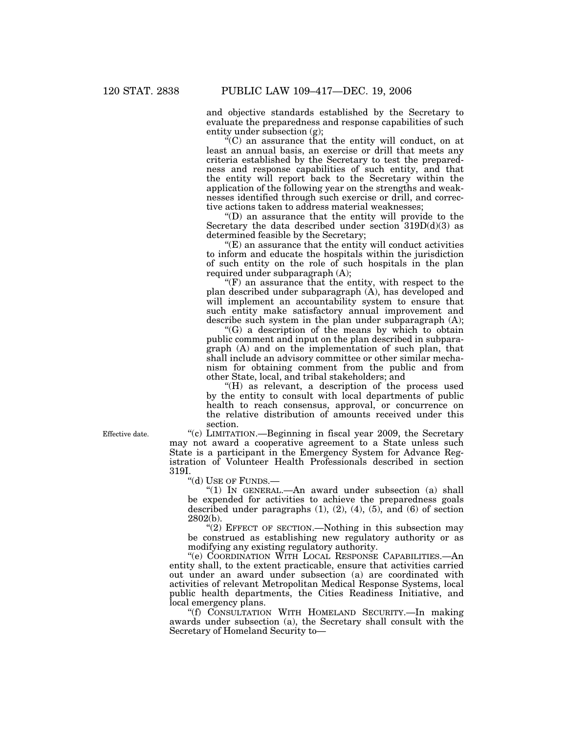and objective standards established by the Secretary to evaluate the preparedness and response capabilities of such entity under subsection (g);

 $\mathcal{C}^{\alpha}(C)$  an assurance that the entity will conduct, on at least an annual basis, an exercise or drill that meets any criteria established by the Secretary to test the preparedness and response capabilities of such entity, and that the entity will report back to the Secretary within the application of the following year on the strengths and weaknesses identified through such exercise or drill, and corrective actions taken to address material weaknesses;

''(D) an assurance that the entity will provide to the Secretary the data described under section  $319D(d)(3)$  as determined feasible by the Secretary;

 $E(E)$  an assurance that the entity will conduct activities to inform and educate the hospitals within the jurisdiction of such entity on the role of such hospitals in the plan required under subparagraph (A);

 $f(F)$  an assurance that the entity, with respect to the plan described under subparagraph (A), has developed and will implement an accountability system to ensure that such entity make satisfactory annual improvement and describe such system in the plan under subparagraph (A);

''(G) a description of the means by which to obtain public comment and input on the plan described in subparagraph (A) and on the implementation of such plan, that shall include an advisory committee or other similar mechanism for obtaining comment from the public and from other State, local, and tribal stakeholders; and

''(H) as relevant, a description of the process used by the entity to consult with local departments of public health to reach consensus, approval, or concurrence on the relative distribution of amounts received under this section.

''(c) LIMITATION.—Beginning in fiscal year 2009, the Secretary may not award a cooperative agreement to a State unless such State is a participant in the Emergency System for Advance Registration of Volunteer Health Professionals described in section 319I.

''(d) USE OF FUNDS.—

''(1) IN GENERAL.—An award under subsection (a) shall be expended for activities to achieve the preparedness goals described under paragraphs  $(1)$ ,  $(2)$ ,  $(4)$ ,  $(5)$ , and  $(6)$  of section 2802(b).

"(2) EFFECT OF SECTION.—Nothing in this subsection may be construed as establishing new regulatory authority or as modifying any existing regulatory authority.

''(e) COORDINATION WITH LOCAL RESPONSE CAPABILITIES.—An entity shall, to the extent practicable, ensure that activities carried out under an award under subsection (a) are coordinated with activities of relevant Metropolitan Medical Response Systems, local public health departments, the Cities Readiness Initiative, and local emergency plans.

''(f) CONSULTATION WITH HOMELAND SECURITY.—In making awards under subsection (a), the Secretary shall consult with the Secretary of Homeland Security to—

Effective date.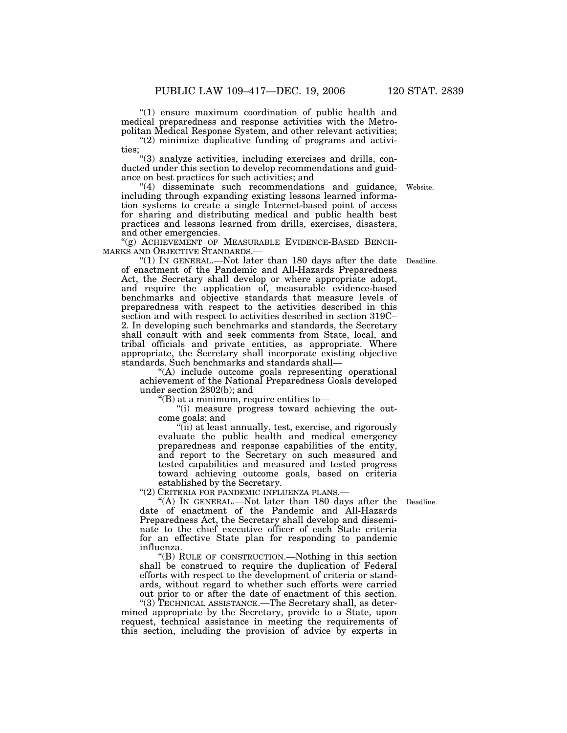''(1) ensure maximum coordination of public health and medical preparedness and response activities with the Metropolitan Medical Response System, and other relevant activities;

"(2) minimize duplicative funding of programs and activities;

''(3) analyze activities, including exercises and drills, conducted under this section to develop recommendations and guidance on best practices for such activities; and

''(4) disseminate such recommendations and guidance, including through expanding existing lessons learned information systems to create a single Internet-based point of access for sharing and distributing medical and public health best practices and lessons learned from drills, exercises, disasters, and other emergencies.

"(g) ACHIEVEMENT OF MEASURABLE EVIDENCE-BASED BENCH-MARKS AND OBJECTIVE STANDARDS.— MARKS AND OBJECTIVE STANDARDS.— ''(1) IN GENERAL.—Not later than 180 days after the date Deadline.

of enactment of the Pandemic and All-Hazards Preparedness Act, the Secretary shall develop or where appropriate adopt, and require the application of, measurable evidence-based benchmarks and objective standards that measure levels of preparedness with respect to the activities described in this section and with respect to activities described in section 319C– 2. In developing such benchmarks and standards, the Secretary shall consult with and seek comments from State, local, and tribal officials and private entities, as appropriate. Where appropriate, the Secretary shall incorporate existing objective standards. Such benchmarks and standards shall—

''(A) include outcome goals representing operational achievement of the National Preparedness Goals developed under section 2802(b); and

''(B) at a minimum, require entities to—

''(i) measure progress toward achieving the outcome goals; and

''(ii) at least annually, test, exercise, and rigorously evaluate the public health and medical emergency preparedness and response capabilities of the entity, and report to the Secretary on such measured and tested capabilities and measured and tested progress toward achieving outcome goals, based on criteria established by the Secretary.

''(2) CRITERIA FOR PANDEMIC INFLUENZA PLANS.—

"(A) IN GENERAL.—Not later than 180 days after the Deadline. date of enactment of the Pandemic and All-Hazards Preparedness Act, the Secretary shall develop and disseminate to the chief executive officer of each State criteria for an effective State plan for responding to pandemic influenza.

''(B) RULE OF CONSTRUCTION.—Nothing in this section shall be construed to require the duplication of Federal efforts with respect to the development of criteria or standards, without regard to whether such efforts were carried out prior to or after the date of enactment of this section.

''(3) TECHNICAL ASSISTANCE.—The Secretary shall, as determined appropriate by the Secretary, provide to a State, upon request, technical assistance in meeting the requirements of this section, including the provision of advice by experts in

Website.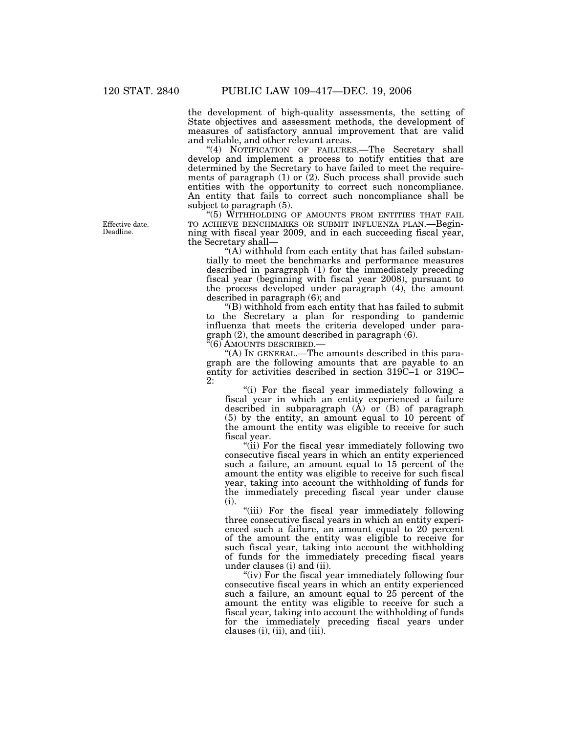the development of high-quality assessments, the setting of State objectives and assessment methods, the development of measures of satisfactory annual improvement that are valid and reliable, and other relevant areas.

"(4) NOTIFICATION OF FAILURES.—The Secretary shall develop and implement a process to notify entities that are determined by the Secretary to have failed to meet the requirements of paragraph  $(1)$  or  $(2)$ . Such process shall provide such entities with the opportunity to correct such noncompliance. An entity that fails to correct such noncompliance shall be subject to paragraph (5).

''(5) WITHHOLDING OF AMOUNTS FROM ENTITIES THAT FAIL TO ACHIEVE BENCHMARKS OR SUBMIT INFLUENZA PLAN.—Beginning with fiscal year 2009, and in each succeeding fiscal year, the Secretary shall—

"(A) withhold from each entity that has failed substantially to meet the benchmarks and performance measures described in paragraph (1) for the immediately preceding fiscal year (beginning with fiscal year 2008), pursuant to the process developed under paragraph (4), the amount described in paragraph (6); and

''(B) withhold from each entity that has failed to submit to the Secretary a plan for responding to pandemic influenza that meets the criteria developed under paragraph (2), the amount described in paragraph (6).

''(6) AMOUNTS DESCRIBED.—

''(A) IN GENERAL.—The amounts described in this paragraph are the following amounts that are payable to an entity for activities described in section 319C–1 or 319C– 2:

''(i) For the fiscal year immediately following a fiscal year in which an entity experienced a failure described in subparagraph  $(A)$  or  $(B)$  of paragraph (5) by the entity, an amount equal to 10 percent of the amount the entity was eligible to receive for such fiscal year.

"(ii) For the fiscal year immediately following two consecutive fiscal years in which an entity experienced such a failure, an amount equal to 15 percent of the amount the entity was eligible to receive for such fiscal year, taking into account the withholding of funds for the immediately preceding fiscal year under clause (i).

''(iii) For the fiscal year immediately following three consecutive fiscal years in which an entity experienced such a failure, an amount equal to 20 percent of the amount the entity was eligible to receive for such fiscal year, taking into account the withholding of funds for the immediately preceding fiscal years under clauses (i) and (ii).

"(iv) For the fiscal year immediately following four consecutive fiscal years in which an entity experienced such a failure, an amount equal to 25 percent of the amount the entity was eligible to receive for such a fiscal year, taking into account the withholding of funds for the immediately preceding fiscal years under clauses  $(i)$ ,  $(ii)$ , and  $(iii)$ .

Effective date. Deadline.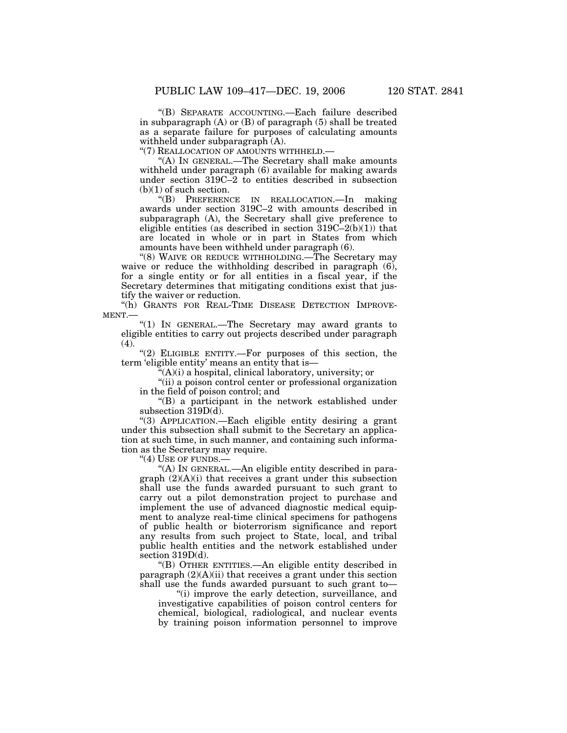''(B) SEPARATE ACCOUNTING.—Each failure described in subparagraph (A) or (B) of paragraph (5) shall be treated as a separate failure for purposes of calculating amounts withheld under subparagraph (A).

"(7) REALLOCATION OF AMOUNTS WITHHELD.

''(A) IN GENERAL.—The Secretary shall make amounts withheld under paragraph (6) available for making awards under section 319C–2 to entities described in subsection  $(b)(1)$  of such section.

''(B) PREFERENCE IN REALLOCATION.—In making awards under section 319C–2 with amounts described in subparagraph (A), the Secretary shall give preference to eligible entities (as described in section  $319C-2(b)(1)$ ) that are located in whole or in part in States from which amounts have been withheld under paragraph (6).

"(8) WAIVE OR REDUCE WITHHOLDING.—The Secretary may waive or reduce the withholding described in paragraph (6), for a single entity or for all entities in a fiscal year, if the Secretary determines that mitigating conditions exist that justify the waiver or reduction.

"(h) GRANTS FOR REAL-TIME DISEASE DETECTION IMPROVE-MENT.—

''(1) IN GENERAL.—The Secretary may award grants to eligible entities to carry out projects described under paragraph (4).

"(2) ELIGIBLE ENTITY.—For purposes of this section, the term 'eligible entity' means an entity that is—

 $\sqrt[\mu]{(A)}$ (i) a hospital, clinical laboratory, university; or

''(ii) a poison control center or professional organization in the field of poison control; and

''(B) a participant in the network established under subsection 319D(d).

''(3) APPLICATION.—Each eligible entity desiring a grant under this subsection shall submit to the Secretary an application at such time, in such manner, and containing such information as the Secretary may require.

"(4) USE OF FUNDS.-

''(A) IN GENERAL.—An eligible entity described in paragraph (2)(A)(i) that receives a grant under this subsection shall use the funds awarded pursuant to such grant to carry out a pilot demonstration project to purchase and implement the use of advanced diagnostic medical equipment to analyze real-time clinical specimens for pathogens of public health or bioterrorism significance and report any results from such project to State, local, and tribal public health entities and the network established under section 319D(d).

''(B) OTHER ENTITIES.—An eligible entity described in paragraph  $(2)(A)(ii)$  that receives a grant under this section shall use the funds awarded pursuant to such grant to—

"(i) improve the early detection, surveillance, and investigative capabilities of poison control centers for chemical, biological, radiological, and nuclear events by training poison information personnel to improve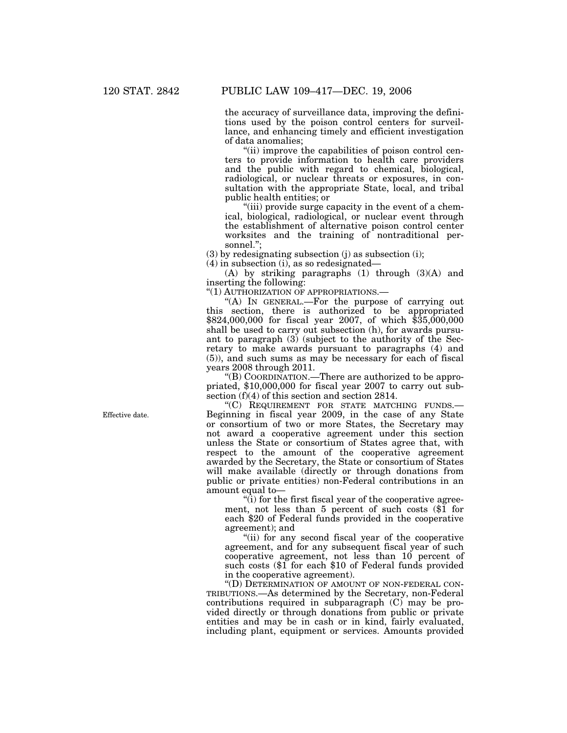the accuracy of surveillance data, improving the definitions used by the poison control centers for surveillance, and enhancing timely and efficient investigation of data anomalies;

''(ii) improve the capabilities of poison control centers to provide information to health care providers and the public with regard to chemical, biological, radiological, or nuclear threats or exposures, in consultation with the appropriate State, local, and tribal public health entities; or

"(iii) provide surge capacity in the event of a chemical, biological, radiological, or nuclear event through the establishment of alternative poison control center worksites and the training of nontraditional personnel.'';

(3) by redesignating subsection (j) as subsection (i);

(4) in subsection (i), as so redesignated—

(A) by striking paragraphs (1) through (3)(A) and inserting the following:

''(1) AUTHORIZATION OF APPROPRIATIONS.—

''(A) IN GENERAL.—For the purpose of carrying out this section, there is authorized to be appropriated \$824,000,000 for fiscal year 2007, of which \$35,000,000 shall be used to carry out subsection (h), for awards pursuant to paragraph (3) (subject to the authority of the Secretary to make awards pursuant to paragraphs (4) and (5)), and such sums as may be necessary for each of fiscal years 2008 through 2011.

''(B) COORDINATION.—There are authorized to be appropriated, \$10,000,000 for fiscal year 2007 to carry out subsection (f)(4) of this section and section 2814.

''(C) REQUIREMENT FOR STATE MATCHING FUNDS.— Beginning in fiscal year 2009, in the case of any State or consortium of two or more States, the Secretary may not award a cooperative agreement under this section unless the State or consortium of States agree that, with respect to the amount of the cooperative agreement awarded by the Secretary, the State or consortium of States will make available (directly or through donations from public or private entities) non-Federal contributions in an amount equal to—

 $\dddot{q}$ ) for the first fiscal year of the cooperative agreement, not less than 5 percent of such costs (\$1 for each \$20 of Federal funds provided in the cooperative agreement); and

''(ii) for any second fiscal year of the cooperative agreement, and for any subsequent fiscal year of such cooperative agreement, not less than 10 percent of such costs (\$1 for each \$10 of Federal funds provided in the cooperative agreement).

''(D) DETERMINATION OF AMOUNT OF NON-FEDERAL CON-TRIBUTIONS.—As determined by the Secretary, non-Federal contributions required in subparagraph (C) may be provided directly or through donations from public or private entities and may be in cash or in kind, fairly evaluated, including plant, equipment or services. Amounts provided

Effective date.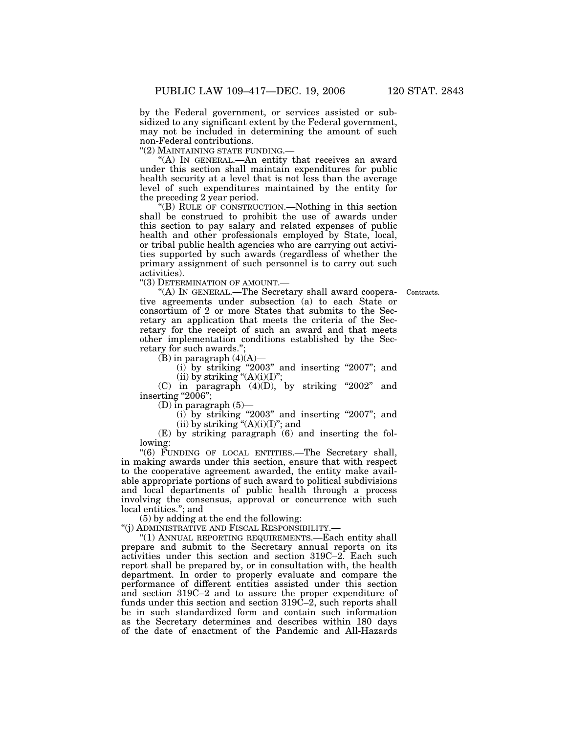by the Federal government, or services assisted or subsidized to any significant extent by the Federal government, may not be included in determining the amount of such non-Federal contributions.

''(2) MAINTAINING STATE FUNDING.—

''(A) IN GENERAL.—An entity that receives an award under this section shall maintain expenditures for public health security at a level that is not less than the average level of such expenditures maintained by the entity for the preceding 2 year period.

''(B) RULE OF CONSTRUCTION.—Nothing in this section shall be construed to prohibit the use of awards under this section to pay salary and related expenses of public health and other professionals employed by State, local, or tribal public health agencies who are carrying out activities supported by such awards (regardless of whether the primary assignment of such personnel is to carry out such activities).

''(3) DETERMINATION OF AMOUNT.—

Contracts.

''(A) IN GENERAL.—The Secretary shall award cooperative agreements under subsection (a) to each State or consortium of 2 or more States that submits to the Secretary an application that meets the criteria of the Secretary for the receipt of such an award and that meets other implementation conditions established by the Secretary for such awards.'';

 $(B)$  in paragraph  $(4)(A)$ —

(i) by striking ''2003'' and inserting ''2007''; and (ii) by striking  $\mathcal{C}(A)(i)(I)^{\prime\prime};$ 

 $(C)$  in paragraph  $(4)(D)$ , by striking "2002" and inserting "2006";

 $(D)$  in paragraph  $(5)$ —

(i) by striking ''2003'' and inserting ''2007''; and (ii) by striking " $(A)(i)(I)$ "; and

(E) by striking paragraph (6) and inserting the following:

''(6) FUNDING OF LOCAL ENTITIES.—The Secretary shall, in making awards under this section, ensure that with respect to the cooperative agreement awarded, the entity make available appropriate portions of such award to political subdivisions and local departments of public health through a process involving the consensus, approval or concurrence with such local entities.''; and

(5) by adding at the end the following:

''(j) ADMINISTRATIVE AND FISCAL RESPONSIBILITY.—

''(1) ANNUAL REPORTING REQUIREMENTS.—Each entity shall prepare and submit to the Secretary annual reports on its activities under this section and section 319C–2. Each such report shall be prepared by, or in consultation with, the health department. In order to properly evaluate and compare the performance of different entities assisted under this section and section 319C–2 and to assure the proper expenditure of funds under this section and section 319C–2, such reports shall be in such standardized form and contain such information as the Secretary determines and describes within 180 days of the date of enactment of the Pandemic and All-Hazards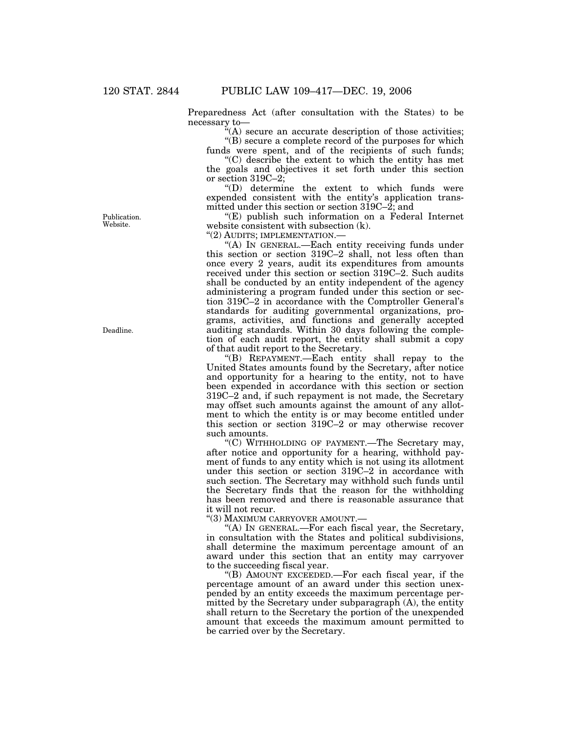Preparedness Act (after consultation with the States) to be necessary to—

 $(A)$  secure an accurate description of those activities; ''(B) secure a complete record of the purposes for which

funds were spent, and of the recipients of such funds; ''(C) describe the extent to which the entity has met

the goals and objectives it set forth under this section or section 319C–2;

''(D) determine the extent to which funds were expended consistent with the entity's application transmitted under this section or section 319C–2; and

''(E) publish such information on a Federal Internet website consistent with subsection (k).

''(2) AUDITS; IMPLEMENTATION.—

''(A) IN GENERAL.—Each entity receiving funds under this section or section 319C–2 shall, not less often than once every 2 years, audit its expenditures from amounts received under this section or section 319C–2. Such audits shall be conducted by an entity independent of the agency administering a program funded under this section or section 319C–2 in accordance with the Comptroller General's standards for auditing governmental organizations, programs, activities, and functions and generally accepted auditing standards. Within 30 days following the completion of each audit report, the entity shall submit a copy of that audit report to the Secretary.

''(B) REPAYMENT.—Each entity shall repay to the United States amounts found by the Secretary, after notice and opportunity for a hearing to the entity, not to have been expended in accordance with this section or section 319C–2 and, if such repayment is not made, the Secretary may offset such amounts against the amount of any allotment to which the entity is or may become entitled under this section or section 319C–2 or may otherwise recover such amounts.

''(C) WITHHOLDING OF PAYMENT.—The Secretary may, after notice and opportunity for a hearing, withhold payment of funds to any entity which is not using its allotment under this section or section 319C–2 in accordance with such section. The Secretary may withhold such funds until the Secretary finds that the reason for the withholding has been removed and there is reasonable assurance that it will not recur.

''(3) MAXIMUM CARRYOVER AMOUNT.—

''(A) IN GENERAL.—For each fiscal year, the Secretary, in consultation with the States and political subdivisions, shall determine the maximum percentage amount of an award under this section that an entity may carryover to the succeeding fiscal year.

''(B) AMOUNT EXCEEDED.—For each fiscal year, if the percentage amount of an award under this section unexpended by an entity exceeds the maximum percentage permitted by the Secretary under subparagraph (A), the entity shall return to the Secretary the portion of the unexpended amount that exceeds the maximum amount permitted to be carried over by the Secretary.

Publication. Website.

Deadline.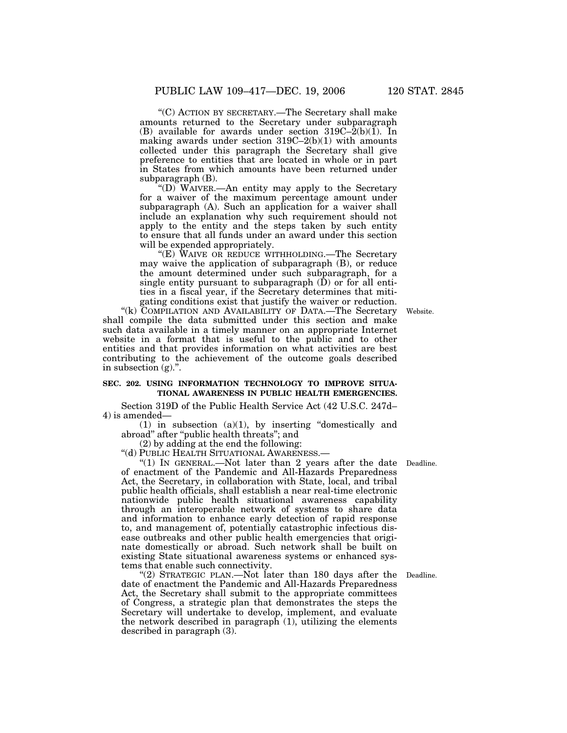''(C) ACTION BY SECRETARY.—The Secretary shall make amounts returned to the Secretary under subparagraph (B) available for awards under section  $319C-2(b)(1)$ . In making awards under section  $319C-2(b)(1)$  with amounts collected under this paragraph the Secretary shall give preference to entities that are located in whole or in part in States from which amounts have been returned under subparagraph (B).

''(D) WAIVER.—An entity may apply to the Secretary for a waiver of the maximum percentage amount under subparagraph (A). Such an application for a waiver shall include an explanation why such requirement should not apply to the entity and the steps taken by such entity to ensure that all funds under an award under this section will be expended appropriately.

''(E) WAIVE OR REDUCE WITHHOLDING.—The Secretary may waive the application of subparagraph (B), or reduce the amount determined under such subparagraph, for a single entity pursuant to subparagraph (D) or for all entities in a fiscal year, if the Secretary determines that mitigating conditions exist that justify the waiver or reduction.

"(k) COMPILATION AND AVAILABILITY OF DATA.—The Secretary shall compile the data submitted under this section and make such data available in a timely manner on an appropriate Internet website in a format that is useful to the public and to other entities and that provides information on what activities are best contributing to the achievement of the outcome goals described in subsection  $(g)$ .".

#### **SEC. 202. USING INFORMATION TECHNOLOGY TO IMPROVE SITUA-TIONAL AWARENESS IN PUBLIC HEALTH EMERGENCIES.**

Section 319D of the Public Health Service Act (42 U.S.C. 247d– 4) is amended—

 $(1)$  in subsection  $(a)(1)$ , by inserting "domestically and abroad'' after ''public health threats''; and

(2) by adding at the end the following:

''(d) PUBLIC HEALTH SITUATIONAL AWARENESS.—

"(1) IN GENERAL.—Not later than 2 years after the date Deadline. of enactment of the Pandemic and All-Hazards Preparedness Act, the Secretary, in collaboration with State, local, and tribal public health officials, shall establish a near real-time electronic nationwide public health situational awareness capability through an interoperable network of systems to share data and information to enhance early detection of rapid response to, and management of, potentially catastrophic infectious disease outbreaks and other public health emergencies that originate domestically or abroad. Such network shall be built on existing State situational awareness systems or enhanced systems that enable such connectivity.

"(2) STRATEGIC PLAN.—Not later than 180 days after the date of enactment the Pandemic and All-Hazards Preparedness Act, the Secretary shall submit to the appropriate committees of Congress, a strategic plan that demonstrates the steps the Secretary will undertake to develop, implement, and evaluate the network described in paragraph (1), utilizing the elements described in paragraph (3).

Deadline.

Website.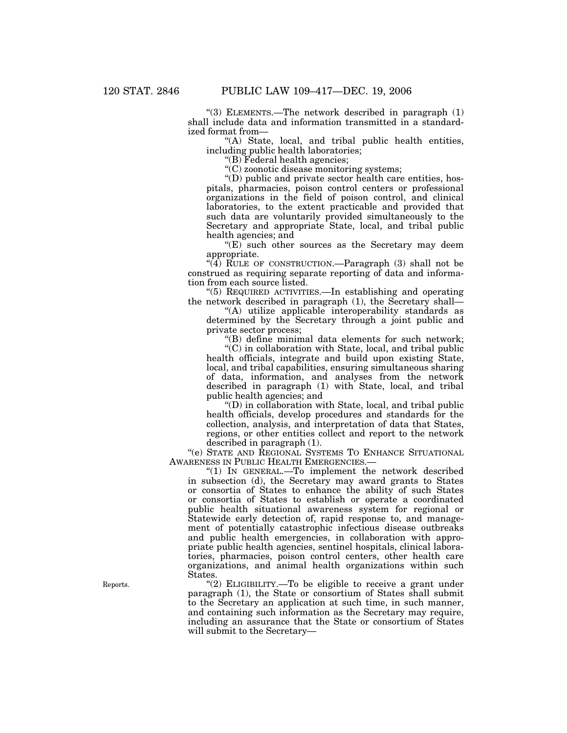" $(3)$  ELEMENTS.—The network described in paragraph  $(1)$ shall include data and information transmitted in a standardized format from—

''(A) State, local, and tribal public health entities, including public health laboratories;

''(B) Federal health agencies;

''(C) zoonotic disease monitoring systems;

''(D) public and private sector health care entities, hospitals, pharmacies, poison control centers or professional organizations in the field of poison control, and clinical laboratories, to the extent practicable and provided that such data are voluntarily provided simultaneously to the Secretary and appropriate State, local, and tribal public health agencies; and

 $E$ ) such other sources as the Secretary may deem appropriate.

"(4) RULE OF CONSTRUCTION.—Paragraph (3) shall not be construed as requiring separate reporting of data and information from each source listed.

''(5) REQUIRED ACTIVITIES.—In establishing and operating the network described in paragraph (1), the Secretary shall—

"(A) utilize applicable interoperability standards as determined by the Secretary through a joint public and private sector process;

''(B) define minimal data elements for such network;

''(C) in collaboration with State, local, and tribal public health officials, integrate and build upon existing State, local, and tribal capabilities, ensuring simultaneous sharing of data, information, and analyses from the network described in paragraph (1) with State, local, and tribal public health agencies; and

''(D) in collaboration with State, local, and tribal public health officials, develop procedures and standards for the collection, analysis, and interpretation of data that States, regions, or other entities collect and report to the network described in paragraph (1).

''(e) STATE AND REGIONAL SYSTEMS TO ENHANCE SITUATIONAL AWARENESS IN PUBLIC HEALTH EMERGENCIES.—

''(1) IN GENERAL.—To implement the network described in subsection (d), the Secretary may award grants to States or consortia of States to enhance the ability of such States or consortia of States to establish or operate a coordinated public health situational awareness system for regional or Statewide early detection of, rapid response to, and management of potentially catastrophic infectious disease outbreaks and public health emergencies, in collaboration with appropriate public health agencies, sentinel hospitals, clinical laboratories, pharmacies, poison control centers, other health care organizations, and animal health organizations within such States.

"(2) ELIGIBILITY.—To be eligible to receive a grant under paragraph (1), the State or consortium of States shall submit to the Secretary an application at such time, in such manner, and containing such information as the Secretary may require, including an assurance that the State or consortium of States will submit to the Secretary—

Reports.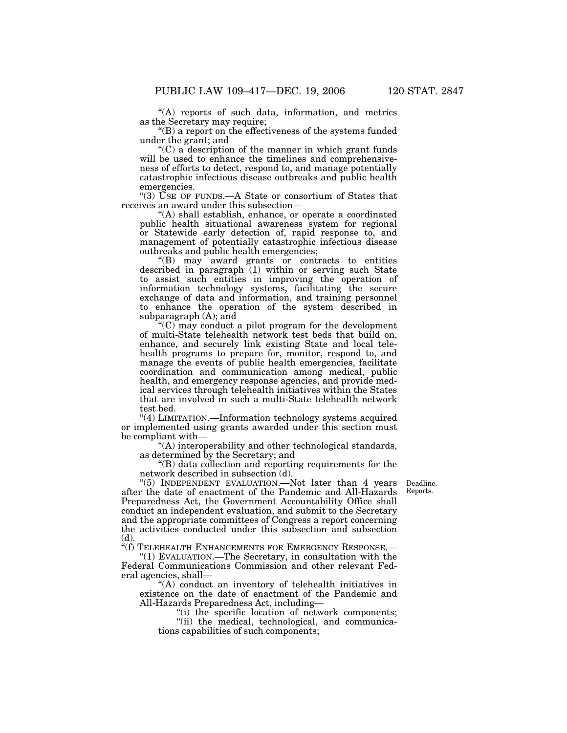''(A) reports of such data, information, and metrics as the Secretary may require;

''(B) a report on the effectiveness of the systems funded under the grant; and

 $C$ ) a description of the manner in which grant funds will be used to enhance the timelines and comprehensiveness of efforts to detect, respond to, and manage potentially catastrophic infectious disease outbreaks and public health emergencies.

''(3) USE OF FUNDS.—A State or consortium of States that receives an award under this subsection—

''(A) shall establish, enhance, or operate a coordinated public health situational awareness system for regional or Statewide early detection of, rapid response to, and management of potentially catastrophic infectious disease outbreaks and public health emergencies;

''(B) may award grants or contracts to entities described in paragraph  $(1)$  within or serving such State to assist such entities in improving the operation of information technology systems, facilitating the secure exchange of data and information, and training personnel to enhance the operation of the system described in subparagraph (A); and

''(C) may conduct a pilot program for the development of multi-State telehealth network test beds that build on, enhance, and securely link existing State and local telehealth programs to prepare for, monitor, respond to, and manage the events of public health emergencies, facilitate coordination and communication among medical, public health, and emergency response agencies, and provide medical services through telehealth initiatives within the States that are involved in such a multi-State telehealth network test bed.

"(4) LIMITATION.—Information technology systems acquired or implemented using grants awarded under this section must be compliant with—

''(A) interoperability and other technological standards, as determined by the Secretary; and

''(B) data collection and reporting requirements for the network described in subsection (d).

> Deadline. Reports.

''(5) INDEPENDENT EVALUATION.—Not later than 4 years after the date of enactment of the Pandemic and All-Hazards Preparedness Act, the Government Accountability Office shall conduct an independent evaluation, and submit to the Secretary and the appropriate committees of Congress a report concerning the activities conducted under this subsection and subsection (d).

''(f) TELEHEALTH ENHANCEMENTS FOR EMERGENCY RESPONSE.—

''(1) EVALUATION.—The Secretary, in consultation with the Federal Communications Commission and other relevant Federal agencies, shall—

"(A) conduct an inventory of telehealth initiatives in existence on the date of enactment of the Pandemic and All-Hazards Preparedness Act, including—

''(i) the specific location of network components;

"(ii) the medical, technological, and communications capabilities of such components;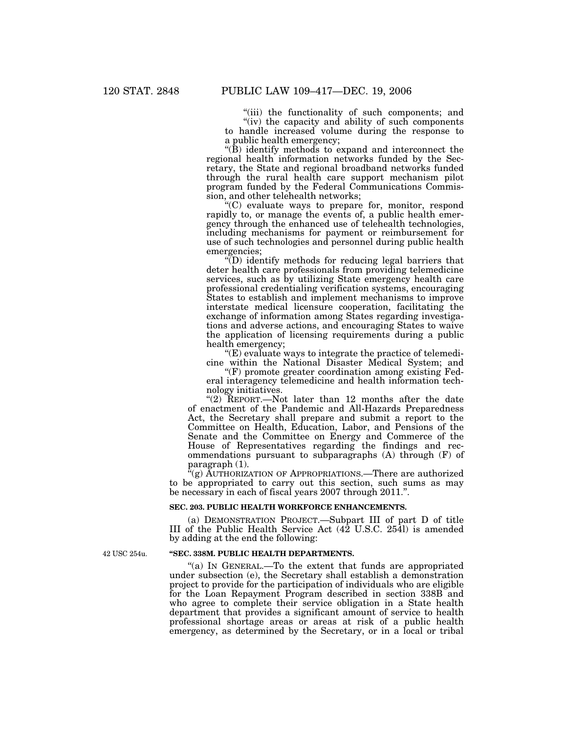"(iii) the functionality of such components; and " $(iv)$  the capacity and ability of such components

to handle increased volume during the response to a public health emergency;

 $\angle$ (B) identify methods to expand and interconnect the regional health information networks funded by the Secretary, the State and regional broadband networks funded through the rural health care support mechanism pilot program funded by the Federal Communications Commission, and other telehealth networks;

''(C) evaluate ways to prepare for, monitor, respond rapidly to, or manage the events of, a public health emergency through the enhanced use of telehealth technologies, including mechanisms for payment or reimbursement for use of such technologies and personnel during public health emergencies;

 $\sqrt{\phi}$ ) identify methods for reducing legal barriers that deter health care professionals from providing telemedicine services, such as by utilizing State emergency health care professional credentialing verification systems, encouraging States to establish and implement mechanisms to improve interstate medical licensure cooperation, facilitating the exchange of information among States regarding investigations and adverse actions, and encouraging States to waive the application of licensing requirements during a public health emergency;

 $E(E)$  evaluate ways to integrate the practice of telemedicine within the National Disaster Medical System; and

 $(F)$  promote greater coordination among existing Federal interagency telemedicine and health information technology initiatives.

"(2) REPORT.—Not later than 12 months after the date of enactment of the Pandemic and All-Hazards Preparedness Act, the Secretary shall prepare and submit a report to the Committee on Health, Education, Labor, and Pensions of the Senate and the Committee on Energy and Commerce of the House of Representatives regarding the findings and recommendations pursuant to subparagraphs (A) through (F) of paragraph (1).

 $C^{k}(g)$  AUTHORIZATION OF APPROPRIATIONS.—There are authorized to be appropriated to carry out this section, such sums as may be necessary in each of fiscal years 2007 through 2011.''.

#### **SEC. 203. PUBLIC HEALTH WORKFORCE ENHANCEMENTS.**

(a) DEMONSTRATION PROJECT.—Subpart III of part D of title III of the Public Health Service Act (42 U.S.C. 254l) is amended by adding at the end the following:

#### **''SEC. 338M. PUBLIC HEALTH DEPARTMENTS.**

"(a) IN GENERAL.—To the extent that funds are appropriated under subsection (e), the Secretary shall establish a demonstration project to provide for the participation of individuals who are eligible for the Loan Repayment Program described in section 338B and who agree to complete their service obligation in a State health department that provides a significant amount of service to health professional shortage areas or areas at risk of a public health emergency, as determined by the Secretary, or in a local or tribal

42 USC 254u.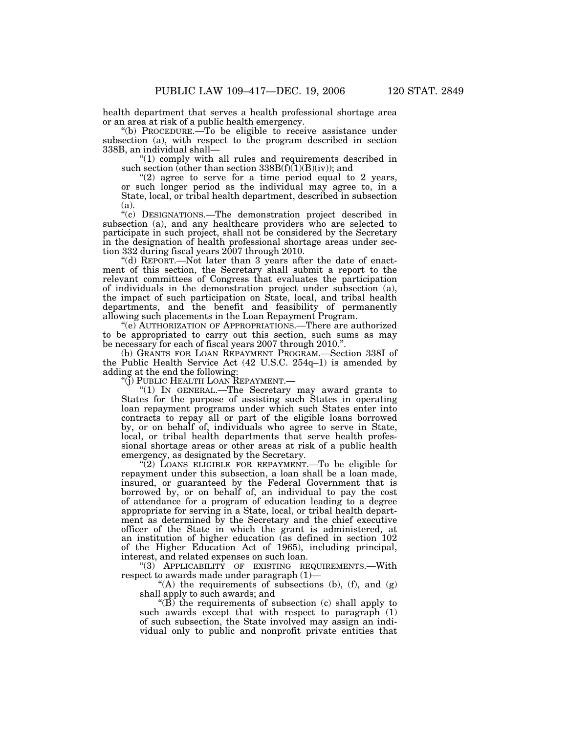health department that serves a health professional shortage area or an area at risk of a public health emergency.

''(b) PROCEDURE.—To be eligible to receive assistance under subsection (a), with respect to the program described in section 338B, an individual shall—

''(1) comply with all rules and requirements described in such section (other than section  $338B(f)(1)(B)(iv)$ ); and

" $(2)$  agree to serve for a time period equal to 2 years, or such longer period as the individual may agree to, in a State, local, or tribal health department, described in subsection (a).

''(c) DESIGNATIONS.—The demonstration project described in subsection (a), and any healthcare providers who are selected to participate in such project, shall not be considered by the Secretary in the designation of health professional shortage areas under section 332 during fiscal years 2007 through 2010.

''(d) REPORT.—Not later than 3 years after the date of enactment of this section, the Secretary shall submit a report to the relevant committees of Congress that evaluates the participation of individuals in the demonstration project under subsection (a), the impact of such participation on State, local, and tribal health departments, and the benefit and feasibility of permanently allowing such placements in the Loan Repayment Program.

''(e) AUTHORIZATION OF APPROPRIATIONS.—There are authorized to be appropriated to carry out this section, such sums as may be necessary for each of fiscal years 2007 through 2010.''.

(b) GRANTS FOR LOAN REPAYMENT PROGRAM.—Section 338I of the Public Health Service Act (42 U.S.C. 254q–1) is amended by adding at the end the following:

''(j) PUBLIC HEALTH LOAN REPAYMENT.—

''(1) IN GENERAL.—The Secretary may award grants to States for the purpose of assisting such States in operating loan repayment programs under which such States enter into contracts to repay all or part of the eligible loans borrowed by, or on behalf of, individuals who agree to serve in State, local, or tribal health departments that serve health professional shortage areas or other areas at risk of a public health emergency, as designated by the Secretary.

 $\sqrt{\left(2\right)}$  LOANS ELIGIBLE FOR REPAYMENT.—To be eligible for repayment under this subsection, a loan shall be a loan made, insured, or guaranteed by the Federal Government that is borrowed by, or on behalf of, an individual to pay the cost of attendance for a program of education leading to a degree appropriate for serving in a State, local, or tribal health department as determined by the Secretary and the chief executive officer of the State in which the grant is administered, at an institution of higher education (as defined in section 102 of the Higher Education Act of 1965), including principal, interest, and related expenses on such loan.

"(3) APPLICABILITY OF EXISTING REQUIREMENTS. - With respect to awards made under paragraph (1)—

"(A) the requirements of subsections (b),  $(f)$ , and  $(g)$ shall apply to such awards; and

" $(B)$  the requirements of subsection (c) shall apply to such awards except that with respect to paragraph (1) of such subsection, the State involved may assign an individual only to public and nonprofit private entities that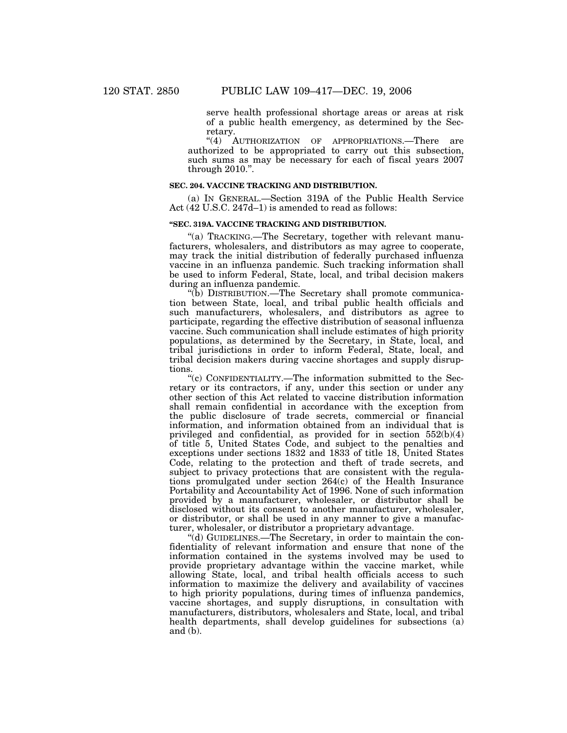serve health professional shortage areas or areas at risk of a public health emergency, as determined by the Secretary.

"(4) AUTHORIZATION OF APPROPRIATIONS.—There are authorized to be appropriated to carry out this subsection, such sums as may be necessary for each of fiscal years 2007 through 2010.''.

#### **SEC. 204. VACCINE TRACKING AND DISTRIBUTION.**

(a) IN GENERAL.—Section 319A of the Public Health Service Act (42 U.S.C. 247d–1) is amended to read as follows:

## **''SEC. 319A. VACCINE TRACKING AND DISTRIBUTION.**

''(a) TRACKING.—The Secretary, together with relevant manufacturers, wholesalers, and distributors as may agree to cooperate, may track the initial distribution of federally purchased influenza vaccine in an influenza pandemic. Such tracking information shall be used to inform Federal, State, local, and tribal decision makers during an influenza pandemic.

''(b) DISTRIBUTION.—The Secretary shall promote communication between State, local, and tribal public health officials and such manufacturers, wholesalers, and distributors as agree to participate, regarding the effective distribution of seasonal influenza vaccine. Such communication shall include estimates of high priority populations, as determined by the Secretary, in State, local, and tribal jurisdictions in order to inform Federal, State, local, and tribal decision makers during vaccine shortages and supply disruptions.

''(c) CONFIDENTIALITY.—The information submitted to the Secretary or its contractors, if any, under this section or under any other section of this Act related to vaccine distribution information shall remain confidential in accordance with the exception from the public disclosure of trade secrets, commercial or financial information, and information obtained from an individual that is privileged and confidential, as provided for in section 552(b)(4) of title 5, United States Code, and subject to the penalties and exceptions under sections 1832 and 1833 of title 18, United States Code, relating to the protection and theft of trade secrets, and subject to privacy protections that are consistent with the regulations promulgated under section 264(c) of the Health Insurance Portability and Accountability Act of 1996. None of such information provided by a manufacturer, wholesaler, or distributor shall be disclosed without its consent to another manufacturer, wholesaler, or distributor, or shall be used in any manner to give a manufacturer, wholesaler, or distributor a proprietary advantage.

''(d) GUIDELINES.—The Secretary, in order to maintain the confidentiality of relevant information and ensure that none of the information contained in the systems involved may be used to provide proprietary advantage within the vaccine market, while allowing State, local, and tribal health officials access to such information to maximize the delivery and availability of vaccines to high priority populations, during times of influenza pandemics, vaccine shortages, and supply disruptions, in consultation with manufacturers, distributors, wholesalers and State, local, and tribal health departments, shall develop guidelines for subsections (a) and (b).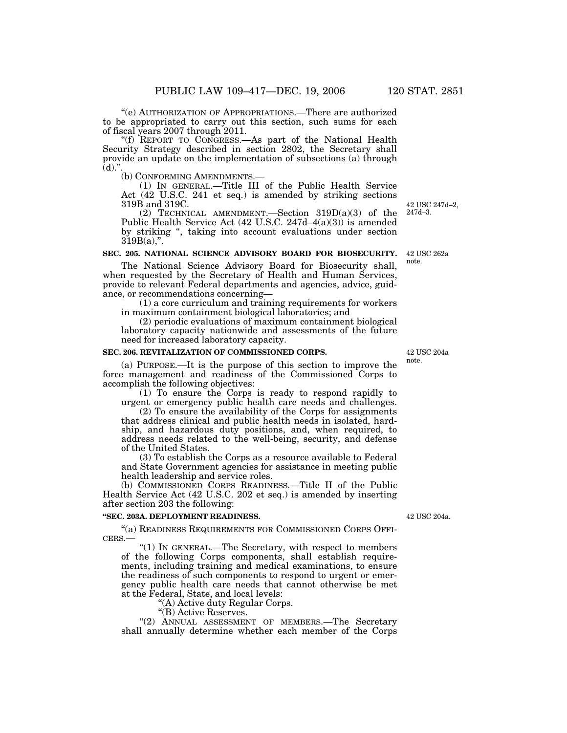''(e) AUTHORIZATION OF APPROPRIATIONS.—There are authorized to be appropriated to carry out this section, such sums for each of fiscal years 2007 through 2011.

''(f) REPORT TO CONGRESS.—As part of the National Health Security Strategy described in section 2802, the Secretary shall provide an update on the implementation of subsections (a) through (d).".<br>(b) CONFORMING AMENDMENTS.-

(b) CONFORMING AMENDMENTS.— (1) IN GENERAL.—Title III of the Public Health Service Act (42 U.S.C. 241 et seq.) is amended by striking sections 319B and 319C.

(2) TECHNICAL AMENDMENT.—Section 319D(a)(3) of the Public Health Service Act (42 U.S.C. 247d–4(a)(3)) is amended by striking '', taking into account evaluations under section  $319B(a)$ .".

## **SEC. 205. NATIONAL SCIENCE ADVISORY BOARD FOR BIOSECURITY.**

The National Science Advisory Board for Biosecurity shall, when requested by the Secretary of Health and Human Services, provide to relevant Federal departments and agencies, advice, guidance, or recommendations concerning—

(1) a core curriculum and training requirements for workers in maximum containment biological laboratories; and

(2) periodic evaluations of maximum containment biological laboratory capacity nationwide and assessments of the future need for increased laboratory capacity.

#### **SEC. 206. REVITALIZATION OF COMMISSIONED CORPS.**

(a) PURPOSE.—It is the purpose of this section to improve the force management and readiness of the Commissioned Corps to accomplish the following objectives:

(1) To ensure the Corps is ready to respond rapidly to urgent or emergency public health care needs and challenges.

(2) To ensure the availability of the Corps for assignments that address clinical and public health needs in isolated, hardship, and hazardous duty positions, and, when required, to address needs related to the well-being, security, and defense of the United States.

(3) To establish the Corps as a resource available to Federal and State Government agencies for assistance in meeting public health leadership and service roles.

(b) COMMISSIONED CORPS READINESS.—Title II of the Public Health Service Act (42 U.S.C. 202 et seq.) is amended by inserting after section 203 the following:

## **''SEC. 203A. DEPLOYMENT READINESS.**

''(a) READINESS REQUIREMENTS FOR COMMISSIONED CORPS OFFI-CERS.—

''(1) IN GENERAL.—The Secretary, with respect to members of the following Corps components, shall establish requirements, including training and medical examinations, to ensure the readiness of such components to respond to urgent or emergency public health care needs that cannot otherwise be met at the Federal, State, and local levels:

''(A) Active duty Regular Corps.

"(B) Active Reserves.

''(2) ANNUAL ASSESSMENT OF MEMBERS.—The Secretary shall annually determine whether each member of the Corps

42 USC 204a.

42 USC 204a note.

42 USC 247d–2, 247d–3.

42 USC 262a note.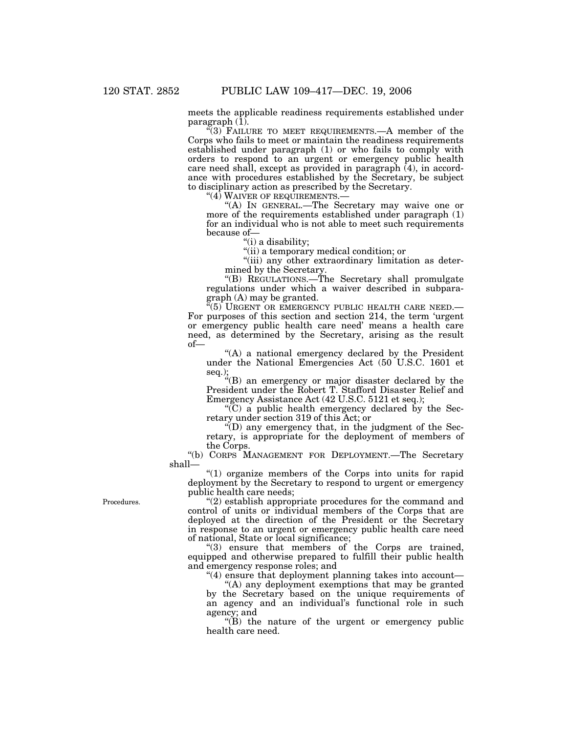meets the applicable readiness requirements established under paragraph $(1)$ .

''(3) FAILURE TO MEET REQUIREMENTS.—A member of the Corps who fails to meet or maintain the readiness requirements established under paragraph (1) or who fails to comply with orders to respond to an urgent or emergency public health care need shall, except as provided in paragraph (4), in accordance with procedures established by the Secretary, be subject to disciplinary action as prescribed by the Secretary.<br>"(4) WAIVER OF REQUIREMENTS.—

"(A) In GENERAL.—The Secretary may waive one or more of the requirements established under paragraph (1) for an individual who is not able to meet such requirements because of—

''(i) a disability;

''(ii) a temporary medical condition; or

''(iii) any other extraordinary limitation as determined by the Secretary.

''(B) REGULATIONS.—The Secretary shall promulgate regulations under which a waiver described in subparagraph (A) may be granted.

 $(5)$  URGENT OR EMERGENCY PUBLIC HEALTH CARE NEED. For purposes of this section and section 214, the term 'urgent or emergency public health care need' means a health care need, as determined by the Secretary, arising as the result of—

 $(A)$  a national emergency declared by the President under the National Emergencies Act (50 U.S.C. 1601 et seq.);

''(B) an emergency or major disaster declared by the President under the Robert T. Stafford Disaster Relief and Emergency Assistance Act (42 U.S.C. 5121 et seq.);

 $\mathrm{C}^{\prime\prime}(\mathrm{C})$  a public health emergency declared by the Secretary under section 319 of this Act; or

 $\mathrm{H}(D)$  any emergency that, in the judgment of the Secretary, is appropriate for the deployment of members of the Corps.

''(b) CORPS MANAGEMENT FOR DEPLOYMENT.—The Secretary shall—

''(1) organize members of the Corps into units for rapid deployment by the Secretary to respond to urgent or emergency public health care needs;

Procedures.

"(2) establish appropriate procedures for the command and control of units or individual members of the Corps that are deployed at the direction of the President or the Secretary in response to an urgent or emergency public health care need of national, State or local significance;

"(3) ensure that members of the Corps are trained, equipped and otherwise prepared to fulfill their public health and emergency response roles; and

"(4) ensure that deployment planning takes into account—

"(A) any deployment exemptions that may be granted by the Secretary based on the unique requirements of an agency and an individual's functional role in such agency; and

 $f(B)$  the nature of the urgent or emergency public health care need.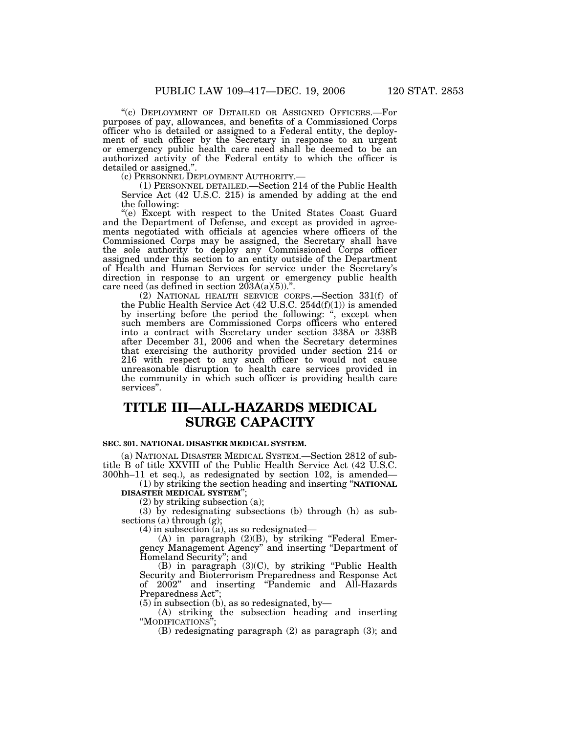''(c) DEPLOYMENT OF DETAILED OR ASSIGNED OFFICERS.—For purposes of pay, allowances, and benefits of a Commissioned Corps officer who is detailed or assigned to a Federal entity, the deployment of such officer by the Secretary in response to an urgent or emergency public health care need shall be deemed to be an authorized activity of the Federal entity to which the officer is detailed or assigned.".<br>
(c) PERSONNEL DEPLOYMENT AUTHORITY.-

(1) PERSONNEL DETAILED.—Section 214 of the Public Health Service Act (42 U.S.C. 215) is amended by adding at the end the following:

''(e) Except with respect to the United States Coast Guard and the Department of Defense, and except as provided in agreements negotiated with officials at agencies where officers of the Commissioned Corps may be assigned, the Secretary shall have the sole authority to deploy any Commissioned Corps officer assigned under this section to an entity outside of the Department of Health and Human Services for service under the Secretary's direction in response to an urgent or emergency public health care need (as defined in section  $203A(a)(5)$ ).".

(2) NATIONAL HEALTH SERVICE CORPS.—Section 331(f) of the Public Health Service Act (42 U.S.C. 254d(f)(1)) is amended by inserting before the period the following: ", except when such members are Commissioned Corps officers who entered into a contract with Secretary under section 338A or 338B after December 31, 2006 and when the Secretary determines that exercising the authority provided under section 214 or 216 with respect to any such officer to would not cause unreasonable disruption to health care services provided in the community in which such officer is providing health care services''.

## **TITLE III—ALL-HAZARDS MEDICAL SURGE CAPACITY**

### **SEC. 301. NATIONAL DISASTER MEDICAL SYSTEM.**

(a) NATIONAL DISASTER MEDICAL SYSTEM.—Section 2812 of subtitle B of title XXVIII of the Public Health Service Act (42 U.S.C. 300hh–11 et seq.), as redesignated by section 102, is amended—

(1) by striking the section heading and inserting ''**NATIONAL DISASTER MEDICAL SYSTEM**'';

(2) by striking subsection (a);

(3) by redesignating subsections (b) through (h) as subsections (a) through  $(g)$ ;

 $(4)$  in subsection  $(a)$ , as so redesignated—

(A) in paragraph  $(2)(B)$ , by striking "Federal Emergency Management Agency'' and inserting ''Department of Homeland Security''; and

(B) in paragraph (3)(C), by striking ''Public Health Security and Bioterrorism Preparedness and Response Act of 2002'' and inserting ''Pandemic and All-Hazards Preparedness Act'';

 $(5)$  in subsection (b), as so redesignated, by-

(A) striking the subsection heading and inserting "MODIFICATIONS"

(B) redesignating paragraph (2) as paragraph (3); and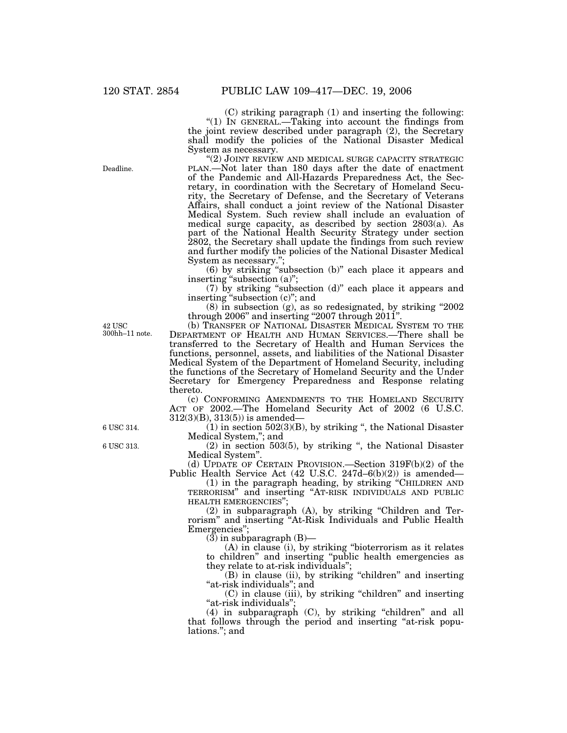(C) striking paragraph (1) and inserting the following: "(1) IN GENERAL.—Taking into account the findings from the joint review described under paragraph (2), the Secretary shall modify the policies of the National Disaster Medical System as necessary.

"(2) JOINT REVIEW AND MEDICAL SURGE CAPACITY STRATEGIC PLAN.—Not later than 180 days after the date of enactment of the Pandemic and All-Hazards Preparedness Act, the Secretary, in coordination with the Secretary of Homeland Security, the Secretary of Defense, and the Secretary of Veterans Affairs, shall conduct a joint review of the National Disaster Medical System. Such review shall include an evaluation of medical surge capacity, as described by section 2803(a). As part of the National Health Security Strategy under section 2802, the Secretary shall update the findings from such review and further modify the policies of the National Disaster Medical System as necessary.'';

(6) by striking ''subsection (b)'' each place it appears and inserting "subsection (a)";

(7) by striking ''subsection (d)'' each place it appears and inserting ''subsection (c)''; and

(8) in subsection (g), as so redesignated, by striking ''2002 through 2006'' and inserting ''2007 through 2011''.

42 USC 300hh–11 note.

(b) TRANSFER OF NATIONAL DISASTER MEDICAL SYSTEM TO THE DEPARTMENT OF HEALTH AND HUMAN SERVICES.—There shall be transferred to the Secretary of Health and Human Services the functions, personnel, assets, and liabilities of the National Disaster Medical System of the Department of Homeland Security, including the functions of the Secretary of Homeland Security and the Under Secretary for Emergency Preparedness and Response relating thereto.

(c) CONFORMING AMENDMENTS TO THE HOMELAND SECURITY ACT OF 2002.—The Homeland Security Act of 2002 (6 U.S.C. 312(3)(B), 313(5)) is amended—

 $(1)$  in section 502 $(3)(B)$ , by striking ", the National Disaster Medical System,''; and

 $(2)$  in section 503 $(5)$ , by striking ", the National Disaster Medical System''.

(d) UPDATE OF CERTAIN PROVISION.—Section 319F(b)(2) of the Public Health Service Act (42 U.S.C. 247d–6(b)(2)) is amended—

(1) in the paragraph heading, by striking ''CHILDREN AND TERRORISM'' and inserting ''AT-RISK INDIVIDUALS AND PUBLIC HEALTH EMERGENCIES'';

(2) in subparagraph (A), by striking ''Children and Terrorism'' and inserting ''At-Risk Individuals and Public Health Emergencies'';

 $(3)$  in subparagraph  $(B)$ —

(A) in clause (i), by striking ''bioterrorism as it relates to children'' and inserting ''public health emergencies as they relate to at-risk individuals'';

(B) in clause (ii), by striking "children" and inserting ''at-risk individuals''; and

(C) in clause (iii), by striking ''children'' and inserting ''at-risk individuals'';

 $(4)$  in subparagraph  $(C)$ , by striking "children" and all that follows through the period and inserting ''at-risk populations.''; and

Deadline.

6 USC 314.

6 USC 313.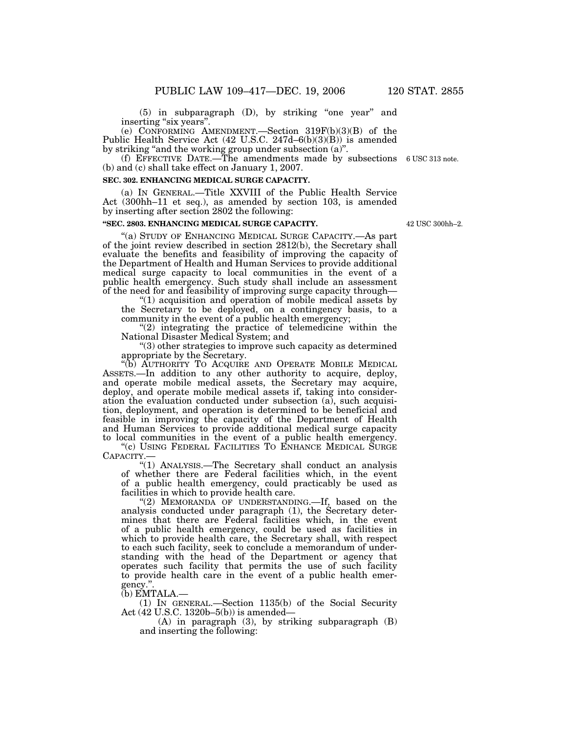(5) in subparagraph (D), by striking ''one year'' and inserting "six years".

(e) CONFORMING AMENDMENT.—Section 319F(b)(3)(B) of the Public Health Service Act (42 U.S.C. 247d–6(b)(3)(B)) is amended by striking "and the working group under subsection (a)".

(f) EFFECTIVE DATE.—The amendments made by subsections 6 USC 313 note. (b) and (c) shall take effect on January 1, 2007.

#### **SEC. 302. ENHANCING MEDICAL SURGE CAPACITY.**

(a) IN GENERAL.—Title XXVIII of the Public Health Service Act (300hh–11 et seq.), as amended by section 103, is amended by inserting after section 2802 the following:

### **''SEC. 2803. ENHANCING MEDICAL SURGE CAPACITY.**

"(a) STUDY OF ENHANCING MEDICAL SURGE CAPACITY.—As part of the joint review described in section 2812(b), the Secretary shall evaluate the benefits and feasibility of improving the capacity of the Department of Health and Human Services to provide additional medical surge capacity to local communities in the event of a public health emergency. Such study shall include an assessment of the need for and feasibility of improving surge capacity through—

''(1) acquisition and operation of mobile medical assets by the Secretary to be deployed, on a contingency basis, to a community in the event of a public health emergency;

"(2) integrating the practice of telemedicine within the National Disaster Medical System; and

''(3) other strategies to improve such capacity as determined appropriate by the Secretary.

''(b) AUTHORITY TO ACQUIRE AND OPERATE MOBILE MEDICAL ASSETS.—In addition to any other authority to acquire, deploy, and operate mobile medical assets, the Secretary may acquire, deploy, and operate mobile medical assets if, taking into consideration the evaluation conducted under subsection (a), such acquisition, deployment, and operation is determined to be beneficial and feasible in improving the capacity of the Department of Health and Human Services to provide additional medical surge capacity to local communities in the event of a public health emergency.

"(c) USING FEDERAL FACILITIES TO ENHANCE MEDICAL SURGE CAPACITY.—

''(1) ANALYSIS.—The Secretary shall conduct an analysis of whether there are Federal facilities which, in the event of a public health emergency, could practicably be used as facilities in which to provide health care.

"(2) MEMORANDA OF UNDERSTANDING.—If, based on the analysis conducted under paragraph (1), the Secretary determines that there are Federal facilities which, in the event of a public health emergency, could be used as facilities in which to provide health care, the Secretary shall, with respect to each such facility, seek to conclude a memorandum of understanding with the head of the Department or agency that operates such facility that permits the use of such facility to provide health care in the event of a public health emergency.''.

(b) EMTALA.—

(1) IN GENERAL.—Section 1135(b) of the Social Security Act (42 U.S.C. 1320b–5(b)) is amended—

(A) in paragraph (3), by striking subparagraph (B) and inserting the following:

42 USC 300hh–2.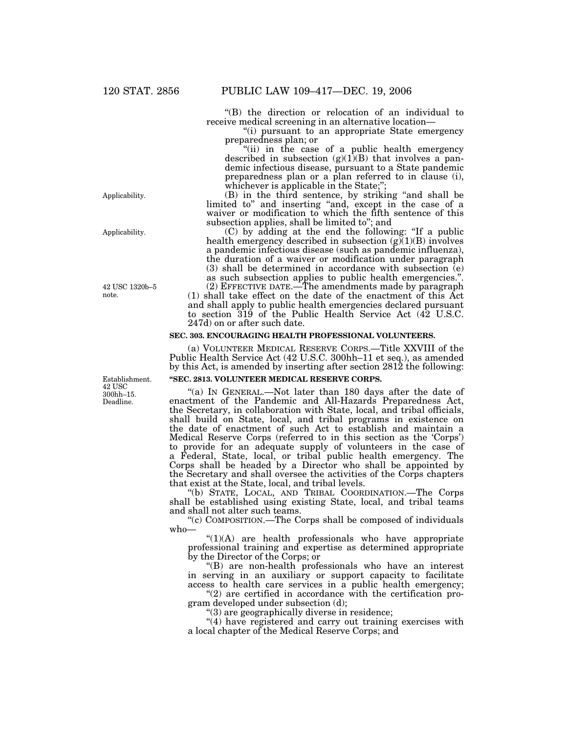''(B) the direction or relocation of an individual to receive medical screening in an alternative location—

''(i) pursuant to an appropriate State emergency preparedness plan; or

''(ii) in the case of a public health emergency described in subsection  $(g)(1)(B)$  that involves a pandemic infectious disease, pursuant to a State pandemic preparedness plan or a plan referred to in clause (i), whichever is applicable in the State;";

(B) in the third sentence, by striking ''and shall be limited to'' and inserting ''and, except in the case of a waiver or modification to which the fifth sentence of this subsection applies, shall be limited to''; and

(C) by adding at the end the following: ''If a public health emergency described in subsection  $(g)(1)(B)$  involves a pandemic infectious disease (such as pandemic influenza), the duration of a waiver or modification under paragraph (3) shall be determined in accordance with subsection (e) as such subsection applies to public health emergencies.''. (2) EFFECTIVE DATE.—The amendments made by paragraph

(1) shall take effect on the date of the enactment of this Act and shall apply to public health emergencies declared pursuant to section 319 of the Public Health Service Act (42 U.S.C. 247d) on or after such date.

## **SEC. 303. ENCOURAGING HEALTH PROFESSIONAL VOLUNTEERS.**

(a) VOLUNTEER MEDICAL RESERVE CORPS.—Title XXVIII of the Public Health Service Act (42 U.S.C. 300hh–11 et seq.), as amended by this Act, is amended by inserting after section 2812 the following:

## **''SEC. 2813. VOLUNTEER MEDICAL RESERVE CORPS.**

"(a) In GENERAL.—Not later than 180 days after the date of enactment of the Pandemic and All-Hazards Preparedness Act, the Secretary, in collaboration with State, local, and tribal officials, shall build on State, local, and tribal programs in existence on the date of enactment of such Act to establish and maintain a Medical Reserve Corps (referred to in this section as the 'Corps') to provide for an adequate supply of volunteers in the case of a Federal, State, local, or tribal public health emergency. The Corps shall be headed by a Director who shall be appointed by the Secretary and shall oversee the activities of the Corps chapters that exist at the State, local, and tribal levels.

''(b) STATE, LOCAL, AND TRIBAL COORDINATION.—The Corps shall be established using existing State, local, and tribal teams and shall not alter such teams.

"(c) COMPOSITION.—The Corps shall be composed of individuals who—

 $''(1)(A)$  are health professionals who have appropriate professional training and expertise as determined appropriate by the Director of the Corps; or

''(B) are non-health professionals who have an interest in serving in an auxiliary or support capacity to facilitate access to health care services in a public health emergency;

 $''(2)$  are certified in accordance with the certification program developed under subsection (d);

''(3) are geographically diverse in residence;

"(4) have registered and carry out training exercises with a local chapter of the Medical Reserve Corps; and

Establishment.

42 USC 1320b–5

Applicability.

Applicability.

note.

42 USC 300hh–15. Deadline.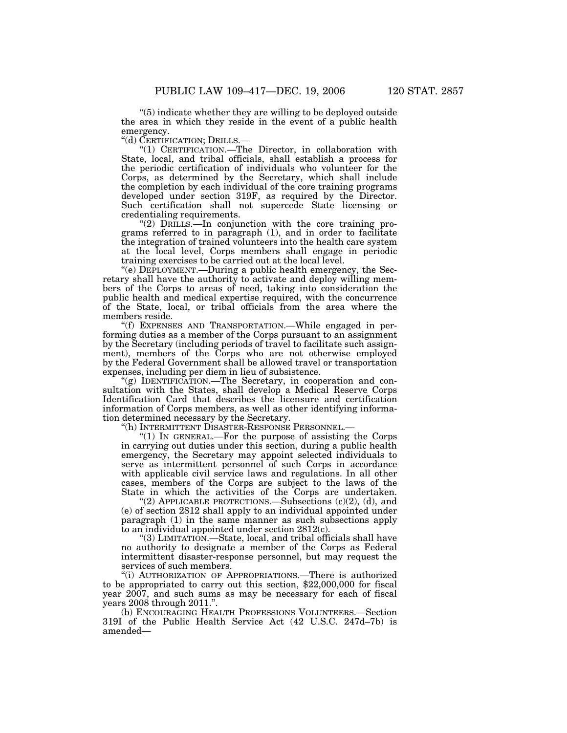''(5) indicate whether they are willing to be deployed outside the area in which they reside in the event of a public health emergency.<br>"(d) CERTIFICATION; DRILLS.-

"(1) CERTIFICATION.— The Director, in collaboration with State, local, and tribal officials, shall establish a process for the periodic certification of individuals who volunteer for the Corps, as determined by the Secretary, which shall include the completion by each individual of the core training programs developed under section 319F, as required by the Director. Such certification shall not supercede State licensing or credentialing requirements.

"(2) DRILLS.—In conjunction with the core training programs referred to in paragraph (1), and in order to facilitate the integration of trained volunteers into the health care system at the local level, Corps members shall engage in periodic training exercises to be carried out at the local level.

''(e) DEPLOYMENT.—During a public health emergency, the Secretary shall have the authority to activate and deploy willing members of the Corps to areas of need, taking into consideration the public health and medical expertise required, with the concurrence of the State, local, or tribal officials from the area where the members reside.

''(f) EXPENSES AND TRANSPORTATION.—While engaged in performing duties as a member of the Corps pursuant to an assignment by the Secretary (including periods of travel to facilitate such assignment), members of the Corps who are not otherwise employed by the Federal Government shall be allowed travel or transportation expenses, including per diem in lieu of subsistence.

''(g) IDENTIFICATION.—The Secretary, in cooperation and consultation with the States, shall develop a Medical Reserve Corps Identification Card that describes the licensure and certification information of Corps members, as well as other identifying information determined necessary by the Secretary.<br>
"(h) INTERMITTENT DISASTER-RESPONSE PERSONNEL.

"(1) IN GENERAL.—For the purpose of assisting the Corps in carrying out duties under this section, during a public health emergency, the Secretary may appoint selected individuals to serve as intermittent personnel of such Corps in accordance with applicable civil service laws and regulations. In all other cases, members of the Corps are subject to the laws of the State in which the activities of the Corps are undertaken.

"(2) APPLICABLE PROTECTIONS.—Subsections  $(c)(2)$ ,  $(d)$ , and (e) of section 2812 shall apply to an individual appointed under paragraph (1) in the same manner as such subsections apply to an individual appointed under section 2812(c).

''(3) LIMITATION.—State, local, and tribal officials shall have no authority to designate a member of the Corps as Federal intermittent disaster-response personnel, but may request the services of such members.

''(i) AUTHORIZATION OF APPROPRIATIONS.—There is authorized to be appropriated to carry out this section, \$22,000,000 for fiscal year 2007, and such sums as may be necessary for each of fiscal years 2008 through 2011.''.

(b) ENCOURAGING HEALTH PROFESSIONS VOLUNTEERS.—Section 319I of the Public Health Service Act (42 U.S.C. 247d–7b) is amended—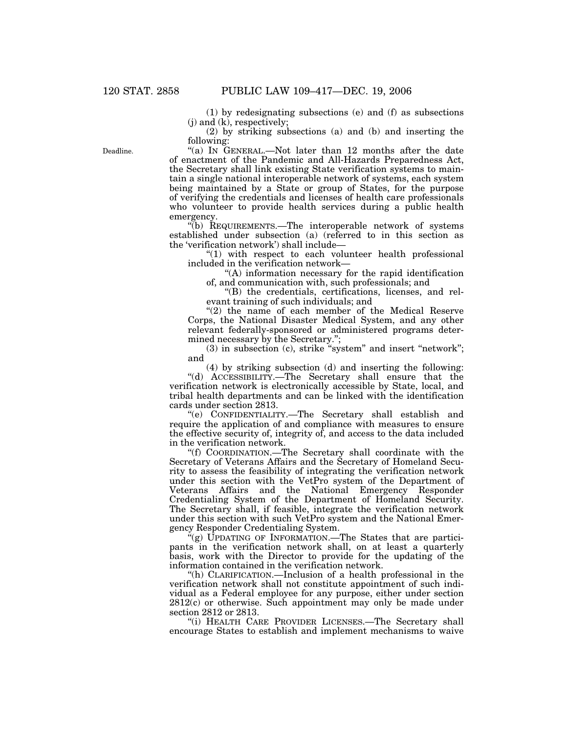(1) by redesignating subsections (e) and (f) as subsections (j) and (k), respectively;

(2) by striking subsections (a) and (b) and inserting the following:

"(a) IN GENERAL.—Not later than 12 months after the date of enactment of the Pandemic and All-Hazards Preparedness Act, the Secretary shall link existing State verification systems to maintain a single national interoperable network of systems, each system being maintained by a State or group of States, for the purpose of verifying the credentials and licenses of health care professionals who volunteer to provide health services during a public health emergency.

''(b) REQUIREMENTS.—The interoperable network of systems established under subsection (a) (referred to in this section as the 'verification network') shall include—

"(1) with respect to each volunteer health professional included in the verification network—

''(A) information necessary for the rapid identification of, and communication with, such professionals; and

''(B) the credentials, certifications, licenses, and relevant training of such individuals; and

" $(2)$  the name of each member of the Medical Reserve Corps, the National Disaster Medical System, and any other relevant federally-sponsored or administered programs determined necessary by the Secretary.'';

(3) in subsection (c), strike "system" and insert "network"; and

(4) by striking subsection (d) and inserting the following: ''(d) ACCESSIBILITY.—The Secretary shall ensure that the verification network is electronically accessible by State, local, and tribal health departments and can be linked with the identification cards under section 2813.

''(e) CONFIDENTIALITY.—The Secretary shall establish and require the application of and compliance with measures to ensure the effective security of, integrity of, and access to the data included in the verification network.

''(f) COORDINATION.—The Secretary shall coordinate with the Secretary of Veterans Affairs and the Secretary of Homeland Security to assess the feasibility of integrating the verification network under this section with the VetPro system of the Department of Veterans Affairs and the National Emergency Responder Credentialing System of the Department of Homeland Security. The Secretary shall, if feasible, integrate the verification network under this section with such VetPro system and the National Emergency Responder Credentialing System.

"(g) UPDATING OF INFORMATION.—The States that are participants in the verification network shall, on at least a quarterly basis, work with the Director to provide for the updating of the information contained in the verification network.

"(h) CLARIFICATION.—Inclusion of a health professional in the verification network shall not constitute appointment of such individual as a Federal employee for any purpose, either under section 2812(c) or otherwise. Such appointment may only be made under section 2812 or 2813.

"(i) HEALTH CARE PROVIDER LICENSES.—The Secretary shall encourage States to establish and implement mechanisms to waive

Deadline.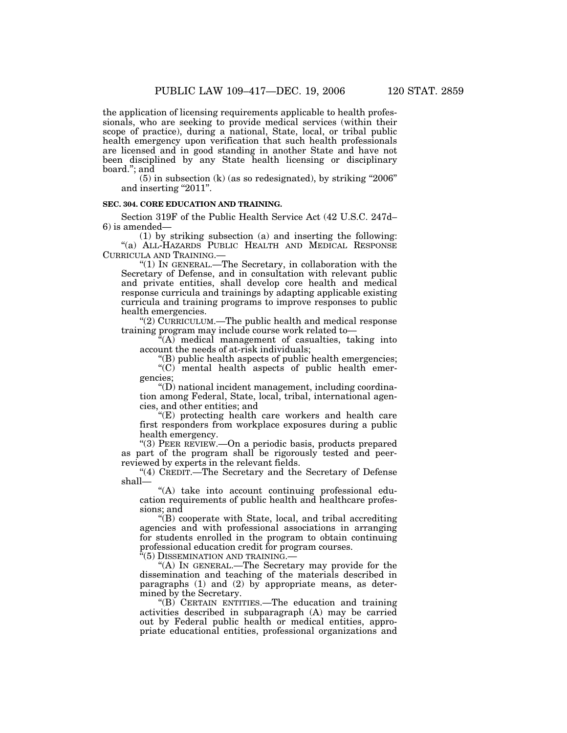the application of licensing requirements applicable to health professionals, who are seeking to provide medical services (within their scope of practice), during a national, State, local, or tribal public health emergency upon verification that such health professionals are licensed and in good standing in another State and have not been disciplined by any State health licensing or disciplinary board.''; and

 $(5)$  in subsection  $(k)$  (as so redesignated), by striking "2006" and inserting "2011".

## **SEC. 304. CORE EDUCATION AND TRAINING.**

Section 319F of the Public Health Service Act (42 U.S.C. 247d– 6) is amended—

(1) by striking subsection (a) and inserting the following: ''(a) ALL-HAZARDS PUBLIC HEALTH AND MEDICAL RESPONSE CURRICULA AND TRAINING.—

''(1) IN GENERAL.—The Secretary, in collaboration with the Secretary of Defense, and in consultation with relevant public and private entities, shall develop core health and medical response curricula and trainings by adapting applicable existing curricula and training programs to improve responses to public health emergencies.

"(2) CURRICULUM.—The public health and medical response training program may include course work related to—

''(A) medical management of casualties, taking into account the needs of at-risk individuals;

''(B) public health aspects of public health emergencies;

''(C) mental health aspects of public health emergencies;

''(D) national incident management, including coordination among Federal, State, local, tribal, international agencies, and other entities; and

''(E) protecting health care workers and health care first responders from workplace exposures during a public health emergency.

''(3) PEER REVIEW.—On a periodic basis, products prepared as part of the program shall be rigorously tested and peerreviewed by experts in the relevant fields.

''(4) CREDIT.—The Secretary and the Secretary of Defense shall—

''(A) take into account continuing professional education requirements of public health and healthcare professions; and

''(B) cooperate with State, local, and tribal accrediting agencies and with professional associations in arranging for students enrolled in the program to obtain continuing professional education credit for program courses.

 $\mathbf{f}^{\mathbf{t}}(5)$  DISSEMINATION AND TRAINING.–

''(A) IN GENERAL.—The Secretary may provide for the dissemination and teaching of the materials described in paragraphs (1) and (2) by appropriate means, as determined by the Secretary.

''(B) CERTAIN ENTITIES.—The education and training activities described in subparagraph (A) may be carried out by Federal public health or medical entities, appropriate educational entities, professional organizations and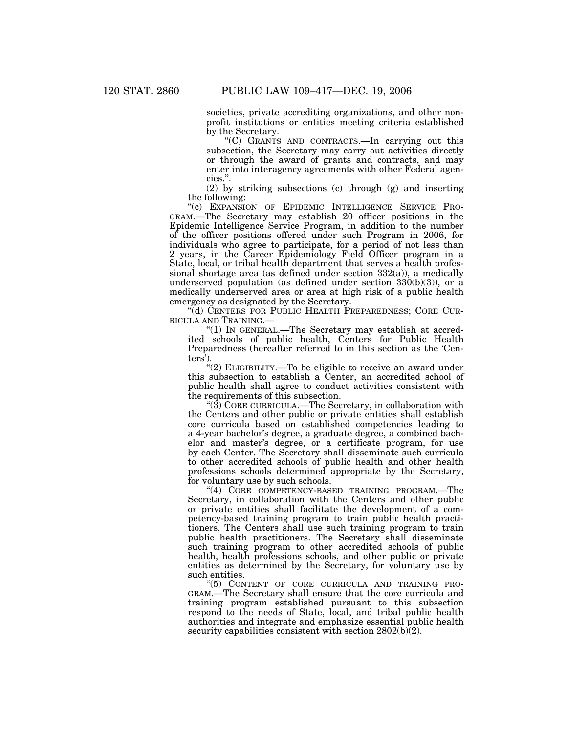societies, private accrediting organizations, and other nonprofit institutions or entities meeting criteria established by the Secretary.

''(C) GRANTS AND CONTRACTS.—In carrying out this subsection, the Secretary may carry out activities directly or through the award of grants and contracts, and may enter into interagency agreements with other Federal agencies.''.

(2) by striking subsections (c) through (g) and inserting the following:

''(c) EXPANSION OF EPIDEMIC INTELLIGENCE SERVICE PRO-GRAM.—The Secretary may establish 20 officer positions in the Epidemic Intelligence Service Program, in addition to the number of the officer positions offered under such Program in 2006, for individuals who agree to participate, for a period of not less than 2 years, in the Career Epidemiology Field Officer program in a State, local, or tribal health department that serves a health professional shortage area (as defined under section 332(a)), a medically underserved population (as defined under section  $330(b)(3)$ ), or a medically underserved area or area at high risk of a public health emergency as designated by the Secretary.

''(d) CENTERS FOR PUBLIC HEALTH PREPAREDNESS; CORE CUR-RICULA AND TRAINING.—

" $(1)$  In GENERAL.—The Secretary may establish at accredited schools of public health, Centers for Public Health Preparedness (hereafter referred to in this section as the 'Centers').

''(2) ELIGIBILITY.—To be eligible to receive an award under this subsection to establish a Center, an accredited school of public health shall agree to conduct activities consistent with the requirements of this subsection.

" $(3)$  CORE CURRICULA.—The Secretary, in collaboration with the Centers and other public or private entities shall establish core curricula based on established competencies leading to a 4-year bachelor's degree, a graduate degree, a combined bachelor and master's degree, or a certificate program, for use by each Center. The Secretary shall disseminate such curricula to other accredited schools of public health and other health professions schools determined appropriate by the Secretary, for voluntary use by such schools.

"(4) CORE COMPETENCY-BASED TRAINING PROGRAM.—The Secretary, in collaboration with the Centers and other public or private entities shall facilitate the development of a competency-based training program to train public health practitioners. The Centers shall use such training program to train public health practitioners. The Secretary shall disseminate such training program to other accredited schools of public health, health professions schools, and other public or private entities as determined by the Secretary, for voluntary use by such entities.

''(5) CONTENT OF CORE CURRICULA AND TRAINING PRO-GRAM.—The Secretary shall ensure that the core curricula and training program established pursuant to this subsection respond to the needs of State, local, and tribal public health authorities and integrate and emphasize essential public health security capabilities consistent with section  $2802(b)(2)$ .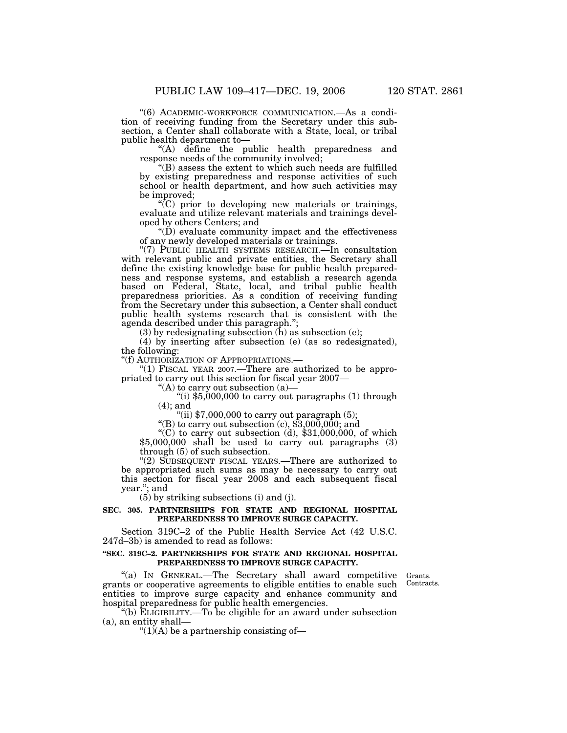''(6) ACADEMIC-WORKFORCE COMMUNICATION.—As a condition of receiving funding from the Secretary under this subsection, a Center shall collaborate with a State, local, or tribal public health department to—

"(A) define the public health preparedness and response needs of the community involved;

''(B) assess the extent to which such needs are fulfilled by existing preparedness and response activities of such school or health department, and how such activities may be improved;

''(C) prior to developing new materials or trainings, evaluate and utilize relevant materials and trainings developed by others Centers; and

 $\mathrm{``(D)}$  evaluate community impact and the effectiveness of any newly developed materials or trainings.

''(7) PUBLIC HEALTH SYSTEMS RESEARCH.—In consultation with relevant public and private entities, the Secretary shall define the existing knowledge base for public health preparedness and response systems, and establish a research agenda based on Federal, State, local, and tribal public health preparedness priorities. As a condition of receiving funding from the Secretary under this subsection, a Center shall conduct public health systems research that is consistent with the agenda described under this paragraph.'';

 $(3)$  by redesignating subsection  $(h)$  as subsection  $(e)$ ;

(4) by inserting after subsection (e) (as so redesignated), the following:<br>"(f) AUTHORIZATION OF APPROPRIATIONS.—

"(1) FISCAL YEAR 2007.—There are authorized to be appropriated to carry out this section for fiscal year 2007—

"(A) to carry out subsection (a)—<br>"(i) \$5,000,000 to carry out paragraphs (1) through (4); and

"(ii)  $$7,000,000$  to carry out paragraph (5);<br>"(B) to carry out subsection (c),  $$3,000,000$ ; and<br>"(C) to carry out subsection (d),  $$31,000,000$ , of which  $$5,000,000$  shall be used to carry out paragraphs  $(3)$ through (5) of such subsection.

"(2) SUBSEQUENT FISCAL YEARS.—There are authorized to be appropriated such sums as may be necessary to carry out this section for fiscal year 2008 and each subsequent fiscal year.''; and

(5) by striking subsections (i) and (j).

### **SEC. 305. PARTNERSHIPS FOR STATE AND REGIONAL HOSPITAL PREPAREDNESS TO IMPROVE SURGE CAPACITY.**

Section 319C–2 of the Public Health Service Act (42 U.S.C. 247d–3b) is amended to read as follows:

#### **''SEC. 319C–2. PARTNERSHIPS FOR STATE AND REGIONAL HOSPITAL PREPAREDNESS TO IMPROVE SURGE CAPACITY.**

"(a) IN GENERAL.—The Secretary shall award competitive grants or cooperative agreements to eligible entities to enable such entities to improve surge capacity and enhance community and hospital preparedness for public health emergencies.

''(b) ELIGIBILITY.—To be eligible for an award under subsection (a), an entity shall—

" $(1)$ (A) be a partnership consisting of-

Grants. Contracts.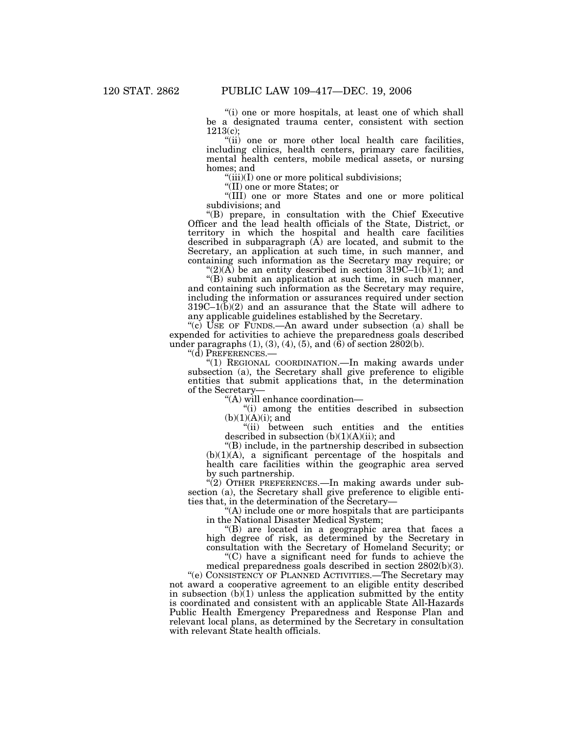"(i) one or more hospitals, at least one of which shall be a designated trauma center, consistent with section 1213(c);

"(ii) one or more other local health care facilities, including clinics, health centers, primary care facilities, mental health centers, mobile medical assets, or nursing homes; and

"(iii)(I) one or more political subdivisions;

''(II) one or more States; or

''(III) one or more States and one or more political subdivisions; and

''(B) prepare, in consultation with the Chief Executive Officer and the lead health officials of the State, District, or territory in which the hospital and health care facilities described in subparagraph  $(\overline{A})$  are located, and submit to the Secretary, an application at such time, in such manner, and containing such information as the Secretary may require; or

" $(2)(\overrightarrow{A})$  be an entity described in section 319C–1(b)(1); and

''(B) submit an application at such time, in such manner, and containing such information as the Secretary may require, including the information or assurances required under section 319C–1(b)(2) and an assurance that the State will adhere to any applicable guidelines established by the Secretary.

"(c) USE OF FUNDS.—An award under subsection  $(a)$  shall be expended for activities to achieve the preparedness goals described under paragraphs  $(1), (3), (4), (5),$  and  $(6)$  of section 2802 $(b)$ .

''(d) PREFERENCES.—

''(1) REGIONAL COORDINATION.—In making awards under subsection (a), the Secretary shall give preference to eligible entities that submit applications that, in the determination of the Secretary—

''(A) will enhance coordination—

''(i) among the entities described in subsection  $(b)(1)(A)(i)$ ; and

''(ii) between such entities and the entities described in subsection  $(b)(1)(A)(ii)$ ; and

''(B) include, in the partnership described in subsection  $(b)(1)(A)$ , a significant percentage of the hospitals and health care facilities within the geographic area served by such partnership.

"(2) OTHER PREFERENCES.—In making awards under subsection (a), the Secretary shall give preference to eligible entities that, in the determination of the Secretary—

''(A) include one or more hospitals that are participants in the National Disaster Medical System;

''(B) are located in a geographic area that faces a high degree of risk, as determined by the Secretary in consultation with the Secretary of Homeland Security; or

''(C) have a significant need for funds to achieve the

medical preparedness goals described in section 2802(b)(3). ''(e) CONSISTENCY OF PLANNED ACTIVITIES.—The Secretary may

not award a cooperative agreement to an eligible entity described in subsection  $(b)$ (1) unless the application submitted by the entity is coordinated and consistent with an applicable State All-Hazards Public Health Emergency Preparedness and Response Plan and relevant local plans, as determined by the Secretary in consultation with relevant State health officials.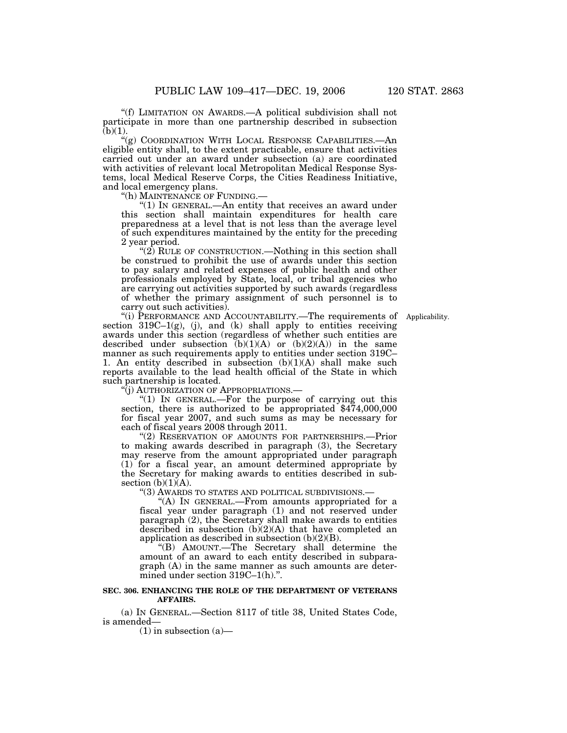''(f) LIMITATION ON AWARDS.—A political subdivision shall not participate in more than one partnership described in subsection  $(b)(1)$ .

'(g) COORDINATION WITH LOCAL RESPONSE CAPABILITIES.—An eligible entity shall, to the extent practicable, ensure that activities carried out under an award under subsection (a) are coordinated with activities of relevant local Metropolitan Medical Response Systems, local Medical Reserve Corps, the Cities Readiness Initiative, and local emergency plans.<br>"(h) MAINTENANCE OF FUNDING.—

" $(1)$  In GENERAL.—An entity that receives an award under this section shall maintain expenditures for health care preparedness at a level that is not less than the average level of such expenditures maintained by the entity for the preceding 2 year period.

"(2) RULE OF CONSTRUCTION.—Nothing in this section shall be construed to prohibit the use of awards under this section to pay salary and related expenses of public health and other professionals employed by State, local, or tribal agencies who are carrying out activities supported by such awards (regardless of whether the primary assignment of such personnel is to carry out such activities).

''(i) PERFORMANCE AND ACCOUNTABILITY.—The requirements of Applicability. section  $319C-1(g)$ , (j), and (k) shall apply to entities receiving awards under this section (regardless of whether such entities are described under subsection  $(b)(1)(A)$  or  $(b)(2)(A))$  in the same manner as such requirements apply to entities under section 319C– 1. An entity described in subsection  $(b)(1)(A)$  shall make such reports available to the lead health official of the State in which such partnership is located.

''(j) AUTHORIZATION OF APPROPRIATIONS.—

''(1) IN GENERAL.—For the purpose of carrying out this section, there is authorized to be appropriated  $$474,000,000$ for fiscal year 2007, and such sums as may be necessary for each of fiscal years 2008 through 2011.

''(2) RESERVATION OF AMOUNTS FOR PARTNERSHIPS.—Prior to making awards described in paragraph (3), the Secretary may reserve from the amount appropriated under paragraph (1) for a fiscal year, an amount determined appropriate by the Secretary for making awards to entities described in subsection  $(b)(1)(A)$ .

''(3) AWARDS TO STATES AND POLITICAL SUBDIVISIONS.—

"(A) In GENERAL.—From amounts appropriated for a fiscal year under paragraph (1) and not reserved under paragraph (2), the Secretary shall make awards to entities described in subsection (b)(2)(A) that have completed an application as described in subsection  $(b)(2)(B)$ .

''(B) AMOUNT.—The Secretary shall determine the amount of an award to each entity described in subparagraph (A) in the same manner as such amounts are determined under section 319C–1(h).''.

#### **SEC. 306. ENHANCING THE ROLE OF THE DEPARTMENT OF VETERANS AFFAIRS.**

(a) IN GENERAL.—Section 8117 of title 38, United States Code, is amended—

 $(1)$  in subsection  $(a)$ —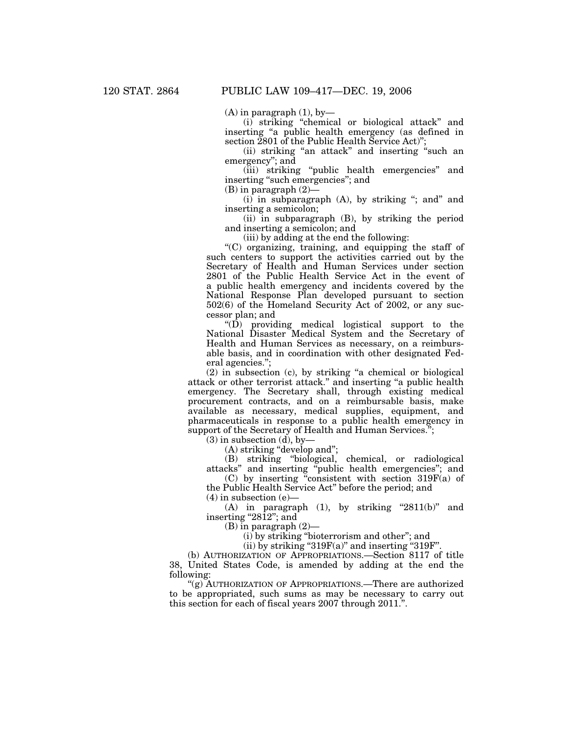$(A)$  in paragraph  $(1)$ , by

(i) striking ''chemical or biological attack'' and inserting ''a public health emergency (as defined in section 2801 of the Public Health Service Act)'';

(ii) striking ''an attack'' and inserting ''such an emergency''; and

(iii) striking "public health emergencies" and inserting "such emergencies"; and

(B) in paragraph (2)—

 $(i)$  in subparagraph  $(A)$ , by striking "; and" and inserting a semicolon;

(ii) in subparagraph (B), by striking the period and inserting a semicolon; and

(iii) by adding at the end the following:

 $(C)$  organizing, training, and equipping the staff of such centers to support the activities carried out by the Secretary of Health and Human Services under section 2801 of the Public Health Service Act in the event of a public health emergency and incidents covered by the National Response Plan developed pursuant to section 502(6) of the Homeland Security Act of 2002, or any successor plan; and

" $(D)$  providing medical logistical support to the National Disaster Medical System and the Secretary of Health and Human Services as necessary, on a reimbursable basis, and in coordination with other designated Federal agencies.'';

(2) in subsection (c), by striking ''a chemical or biological attack or other terrorist attack.'' and inserting ''a public health emergency. The Secretary shall, through existing medical procurement contracts, and on a reimbursable basis, make available as necessary, medical supplies, equipment, and pharmaceuticals in response to a public health emergency in support of the Secretary of Health and Human Services.";

 $(3)$  in subsection  $(d)$ , by-

(A) striking "develop and";

(B) striking ''biological, chemical, or radiological attacks'' and inserting ''public health emergencies''; and

(C) by inserting ''consistent with section 319F(a) of the Public Health Service Act'' before the period; and

 $(4)$  in subsection  $(e)$ 

(A) in paragraph  $(1)$ , by striking "2811 $(b)$ " and inserting " $28\overline{1}2$ "; and

(B) in paragraph (2)—

(i) by striking ''bioterrorism and other''; and

(ii) by striking "319 $F(a)$ " and inserting "319 $F$ ".

(b) AUTHORIZATION OF APPROPRIATIONS.—Section 8117 of title 38, United States Code, is amended by adding at the end the following:

"(g) AUTHORIZATION OF APPROPRIATIONS.—There are authorized to be appropriated, such sums as may be necessary to carry out this section for each of fiscal years 2007 through 2011.''.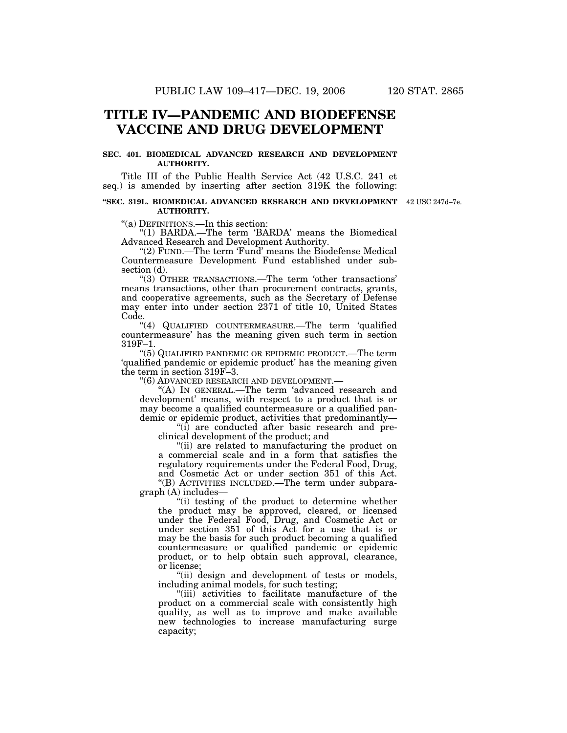## **TITLE IV—PANDEMIC AND BIODEFENSE VACCINE AND DRUG DEVELOPMENT**

## **SEC. 401. BIOMEDICAL ADVANCED RESEARCH AND DEVELOPMENT AUTHORITY.**

Title III of the Public Health Service Act (42 U.S.C. 241 et seq.) is amended by inserting after section 319K the following:

#### **''SEC. 319L. BIOMEDICAL ADVANCED RESEARCH AND DEVELOPMENT** 42 USC 247d–7e. **AUTHORITY.**

''(a) DEFINITIONS.—In this section:

''(1) BARDA.—The term 'BARDA' means the Biomedical Advanced Research and Development Authority.

"(2) FUND.—The term 'Fund' means the Biodefense Medical Countermeasure Development Fund established under subsection (d).

''(3) OTHER TRANSACTIONS.—The term 'other transactions' means transactions, other than procurement contracts, grants, and cooperative agreements, such as the Secretary of Defense may enter into under section 2371 of title 10, United States Code.

"(4) QUALIFIED COUNTERMEASURE.—The term 'qualified countermeasure' has the meaning given such term in section 319F–1.

''(5) QUALIFIED PANDEMIC OR EPIDEMIC PRODUCT.—The term 'qualified pandemic or epidemic product' has the meaning given the term in section 319F–3.

''(6) ADVANCED RESEARCH AND DEVELOPMENT.—

"(A) In GENERAL.—The term 'advanced research and development' means, with respect to a product that is or may become a qualified countermeasure or a qualified pandemic or epidemic product, activities that predominantly—

''(i) are conducted after basic research and preclinical development of the product; and

''(ii) are related to manufacturing the product on a commercial scale and in a form that satisfies the regulatory requirements under the Federal Food, Drug, and Cosmetic Act or under section 351 of this Act. ''(B) ACTIVITIES INCLUDED.—The term under subpara-

graph (A) includes—

''(i) testing of the product to determine whether the product may be approved, cleared, or licensed under the Federal Food, Drug, and Cosmetic Act or under section 351 of this Act for a use that is or may be the basis for such product becoming a qualified countermeasure or qualified pandemic or epidemic product, or to help obtain such approval, clearance, or license;

"(ii) design and development of tests or models, including animal models, for such testing;

"(iii) activities to facilitate manufacture of the product on a commercial scale with consistently high quality, as well as to improve and make available new technologies to increase manufacturing surge capacity;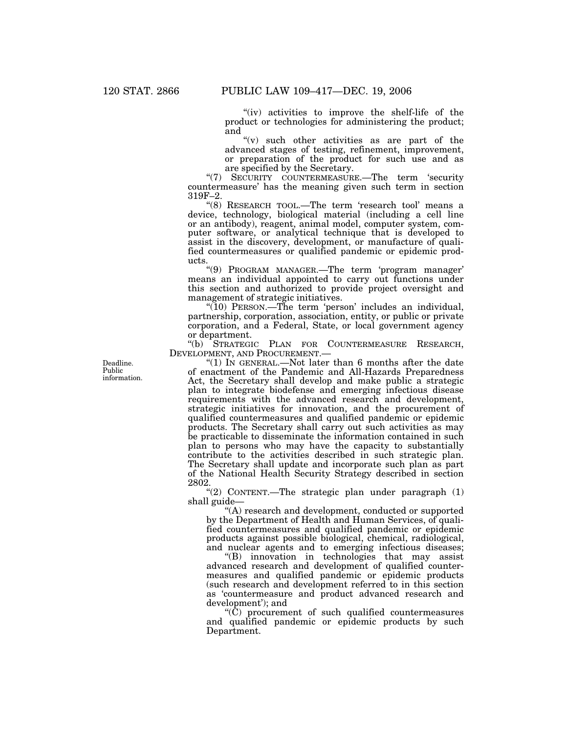"(iv) activities to improve the shelf-life of the product or technologies for administering the product; and

" $(v)$  such other activities as are part of the advanced stages of testing, refinement, improvement, or preparation of the product for such use and as are specified by the Secretary.

''(7) SECURITY COUNTERMEASURE.—The term 'security countermeasure' has the meaning given such term in section 319F–2.

''(8) RESEARCH TOOL.—The term 'research tool' means a device, technology, biological material (including a cell line or an antibody), reagent, animal model, computer system, computer software, or analytical technique that is developed to assist in the discovery, development, or manufacture of qualified countermeasures or qualified pandemic or epidemic products.

''(9) PROGRAM MANAGER.—The term 'program manager' means an individual appointed to carry out functions under this section and authorized to provide project oversight and management of strategic initiatives.

"(10) PERSON.—The term 'person' includes an individual, partnership, corporation, association, entity, or public or private corporation, and a Federal, State, or local government agency or department.

''(b) STRATEGIC PLAN FOR COUNTERMEASURE RESEARCH, DEVELOPMENT, AND PROCUREMENT.—

"(1) In GENERAL.—Not later than 6 months after the date of enactment of the Pandemic and All-Hazards Preparedness Act, the Secretary shall develop and make public a strategic plan to integrate biodefense and emerging infectious disease requirements with the advanced research and development, strategic initiatives for innovation, and the procurement of qualified countermeasures and qualified pandemic or epidemic products. The Secretary shall carry out such activities as may be practicable to disseminate the information contained in such plan to persons who may have the capacity to substantially contribute to the activities described in such strategic plan. The Secretary shall update and incorporate such plan as part of the National Health Security Strategy described in section 2802.

"(2) CONTENT.—The strategic plan under paragraph  $(1)$ shall guide—

''(A) research and development, conducted or supported by the Department of Health and Human Services, of qualified countermeasures and qualified pandemic or epidemic products against possible biological, chemical, radiological, and nuclear agents and to emerging infectious diseases;

''(B) innovation in technologies that may assist advanced research and development of qualified countermeasures and qualified pandemic or epidemic products (such research and development referred to in this section as 'countermeasure and product advanced research and development'); and

 $(C)$  procurement of such qualified countermeasures and qualified pandemic or epidemic products by such Department.

Deadline. Public information.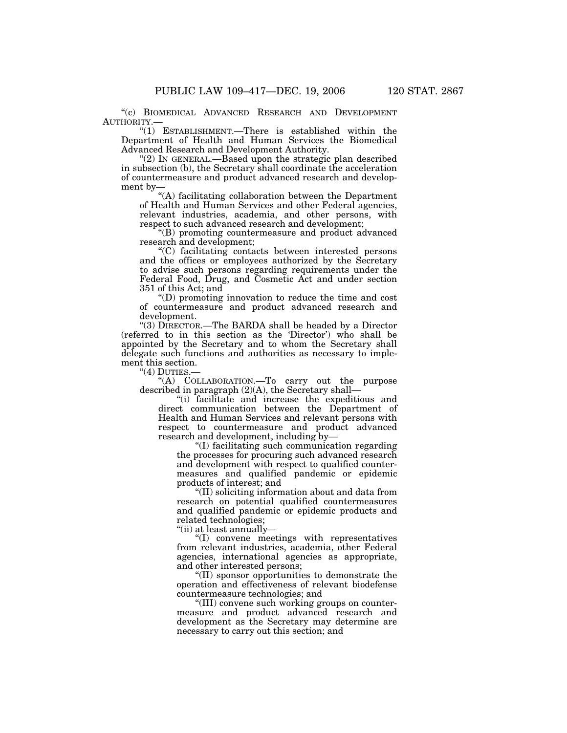''(c) BIOMEDICAL ADVANCED RESEARCH AND DEVELOPMENT

 $"(1)$  ESTABLISHMENT.—There is established within the Department of Health and Human Services the Biomedical Advanced Research and Development Authority.

 $(2)$  In GENERAL.—Based upon the strategic plan described in subsection (b), the Secretary shall coordinate the acceleration of countermeasure and product advanced research and development by—

''(A) facilitating collaboration between the Department of Health and Human Services and other Federal agencies, relevant industries, academia, and other persons, with respect to such advanced research and development;

''(B) promoting countermeasure and product advanced research and development;

''(C) facilitating contacts between interested persons and the offices or employees authorized by the Secretary to advise such persons regarding requirements under the Federal Food, Drug, and Cosmetic Act and under section 351 of this Act; and

''(D) promoting innovation to reduce the time and cost of countermeasure and product advanced research and development.

"(3) DIRECTOR.—The BARDA shall be headed by a Director (referred to in this section as the 'Director') who shall be appointed by the Secretary and to whom the Secretary shall delegate such functions and authorities as necessary to implement this section.

"(4) DUTIES.-

''(A) COLLABORATION.—To carry out the purpose described in paragraph (2)(A), the Secretary shall—

''(i) facilitate and increase the expeditious and direct communication between the Department of Health and Human Services and relevant persons with respect to countermeasure and product advanced research and development, including by—

''(I) facilitating such communication regarding the processes for procuring such advanced research and development with respect to qualified countermeasures and qualified pandemic or epidemic products of interest; and

''(II) soliciting information about and data from research on potential qualified countermeasures and qualified pandemic or epidemic products and related technologies;

''(ii) at least annually—

''(I) convene meetings with representatives from relevant industries, academia, other Federal agencies, international agencies as appropriate, and other interested persons;

''(II) sponsor opportunities to demonstrate the operation and effectiveness of relevant biodefense countermeasure technologies; and

''(III) convene such working groups on countermeasure and product advanced research and development as the Secretary may determine are necessary to carry out this section; and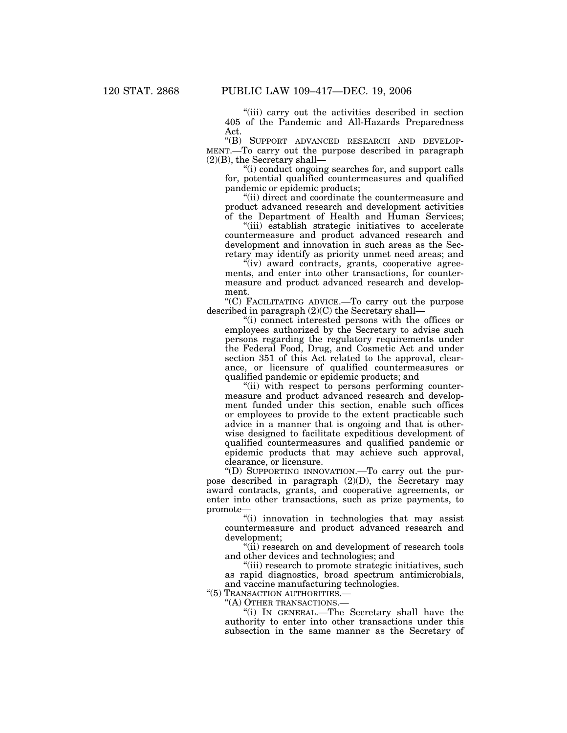''(iii) carry out the activities described in section 405 of the Pandemic and All-Hazards Preparedness Act.

''(B) SUPPORT ADVANCED RESEARCH AND DEVELOP-MENT.—To carry out the purpose described in paragraph (2)(B), the Secretary shall—

''(i) conduct ongoing searches for, and support calls for, potential qualified countermeasures and qualified pandemic or epidemic products;

''(ii) direct and coordinate the countermeasure and product advanced research and development activities of the Department of Health and Human Services;

''(iii) establish strategic initiatives to accelerate countermeasure and product advanced research and development and innovation in such areas as the Secretary may identify as priority unmet need areas; and

"(iv) award contracts, grants, cooperative agreements, and enter into other transactions, for countermeasure and product advanced research and development.

''(C) FACILITATING ADVICE.—To carry out the purpose described in paragraph (2)(C) the Secretary shall—

''(i) connect interested persons with the offices or employees authorized by the Secretary to advise such persons regarding the regulatory requirements under the Federal Food, Drug, and Cosmetic Act and under section 351 of this Act related to the approval, clearance, or licensure of qualified countermeasures or qualified pandemic or epidemic products; and

"(ii) with respect to persons performing countermeasure and product advanced research and development funded under this section, enable such offices or employees to provide to the extent practicable such advice in a manner that is ongoing and that is otherwise designed to facilitate expeditious development of qualified countermeasures and qualified pandemic or epidemic products that may achieve such approval, clearance, or licensure.

''(D) SUPPORTING INNOVATION.—To carry out the purpose described in paragraph  $(2)(D)$ , the Secretary may award contracts, grants, and cooperative agreements, or enter into other transactions, such as prize payments, to promote—

''(i) innovation in technologies that may assist countermeasure and product advanced research and development;

"(ii) research on and development of research tools and other devices and technologies; and

"(iii) research to promote strategic initiatives, such as rapid diagnostics, broad spectrum antimicrobials, and vaccine manufacturing technologies.

"(5) TRANSACTION AUTHORITIES .-

''(A) OTHER TRANSACTIONS.—

''(i) IN GENERAL.—The Secretary shall have the authority to enter into other transactions under this subsection in the same manner as the Secretary of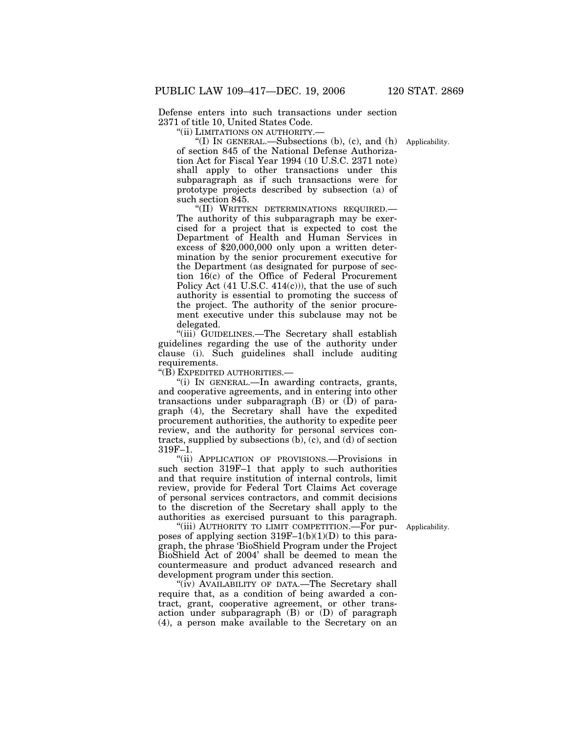Defense enters into such transactions under section 2371 of title 10, United States Code.

''(ii) LIMITATIONS ON AUTHORITY.—

"(I) IN GENERAL.—Subsections (b), (c), and (h) Applicability. of section 845 of the National Defense Authorization Act for Fiscal Year 1994 (10 U.S.C. 2371 note) shall apply to other transactions under this subparagraph as if such transactions were for prototype projects described by subsection (a) of such section 845.

''(II) WRITTEN DETERMINATIONS REQUIRED.— The authority of this subparagraph may be exercised for a project that is expected to cost the Department of Health and Human Services in excess of \$20,000,000 only upon a written determination by the senior procurement executive for the Department (as designated for purpose of section 16(c) of the Office of Federal Procurement Policy Act (41 U.S.C. 414(c))), that the use of such authority is essential to promoting the success of the project. The authority of the senior procurement executive under this subclause may not be delegated.

''(iii) GUIDELINES.—The Secretary shall establish guidelines regarding the use of the authority under clause (i). Such guidelines shall include auditing requirements.

''(B) EXPEDITED AUTHORITIES.—

''(i) IN GENERAL.—In awarding contracts, grants, and cooperative agreements, and in entering into other transactions under subparagraph  $(B)$  or  $(\bar{D})$  of paragraph (4), the Secretary shall have the expedited procurement authorities, the authority to expedite peer review, and the authority for personal services contracts, supplied by subsections  $(b)$ ,  $(c)$ , and  $(d)$  of section 319F–1.

''(ii) APPLICATION OF PROVISIONS.—Provisions in such section 319F–1 that apply to such authorities and that require institution of internal controls, limit review, provide for Federal Tort Claims Act coverage of personal services contractors, and commit decisions to the discretion of the Secretary shall apply to the authorities as exercised pursuant to this paragraph.

Applicability.

"(iii) AUTHORITY TO LIMIT COMPETITION.—For purposes of applying section  $319F-1(b)(1)(D)$  to this paragraph, the phrase 'BioShield Program under the Project BioShield Act of 2004' shall be deemed to mean the countermeasure and product advanced research and development program under this section.

"(iv) AVAILABILITY OF DATA.—The Secretary shall require that, as a condition of being awarded a contract, grant, cooperative agreement, or other transaction under subparagraph (B) or (D) of paragraph (4), a person make available to the Secretary on an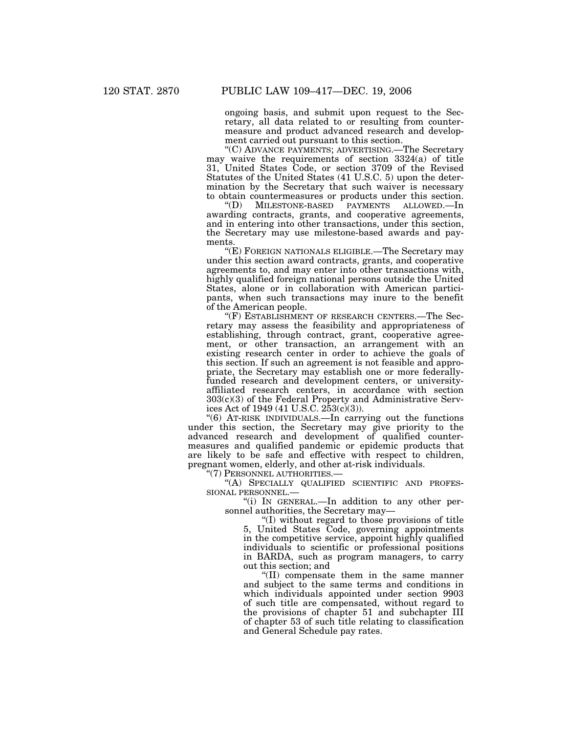ongoing basis, and submit upon request to the Secretary, all data related to or resulting from countermeasure and product advanced research and development carried out pursuant to this section.

''(C) ADVANCE PAYMENTS; ADVERTISING.—The Secretary may waive the requirements of section 3324(a) of title 31, United States Code, or section 3709 of the Revised Statutes of the United States (41 U.S.C. 5) upon the determination by the Secretary that such waiver is necessary to obtain countermeasures or products under this section.

''(D) MILESTONE-BASED PAYMENTS ALLOWED.—In awarding contracts, grants, and cooperative agreements, and in entering into other transactions, under this section, the Secretary may use milestone-based awards and payments.

''(E) FOREIGN NATIONALS ELIGIBLE.—The Secretary may under this section award contracts, grants, and cooperative agreements to, and may enter into other transactions with, highly qualified foreign national persons outside the United States, alone or in collaboration with American participants, when such transactions may inure to the benefit of the American people.

''(F) ESTABLISHMENT OF RESEARCH CENTERS.—The Secretary may assess the feasibility and appropriateness of establishing, through contract, grant, cooperative agreement, or other transaction, an arrangement with an existing research center in order to achieve the goals of this section. If such an agreement is not feasible and appropriate, the Secretary may establish one or more federallyfunded research and development centers, or universityaffiliated research centers, in accordance with section 303(c)(3) of the Federal Property and Administrative Services Act of 1949 (41 U.S.C.  $253(c)(3)$ ).

''(6) AT-RISK INDIVIDUALS.—In carrying out the functions under this section, the Secretary may give priority to the advanced research and development of qualified countermeasures and qualified pandemic or epidemic products that are likely to be safe and effective with respect to children, pregnant women, elderly, and other at-risk individuals.

''(7) PERSONNEL AUTHORITIES.—

"(A) SPECIALLY QUALIFIED SCIENTIFIC AND PROFES-SIONAL PERSONNEL.—

''(i) IN GENERAL.—In addition to any other personnel authorities, the Secretary may—

''(I) without regard to those provisions of title 5, United States Code, governing appointments in the competitive service, appoint highly qualified individuals to scientific or professional positions in BARDA, such as program managers, to carry out this section; and

''(II) compensate them in the same manner and subject to the same terms and conditions in which individuals appointed under section 9903 of such title are compensated, without regard to the provisions of chapter 51 and subchapter III of chapter 53 of such title relating to classification and General Schedule pay rates.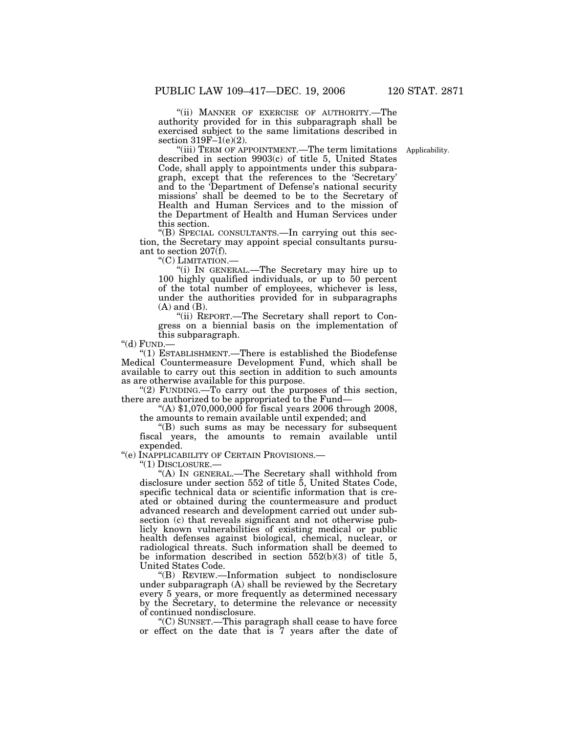"(ii) MANNER OF EXERCISE OF AUTHORITY.—The authority provided for in this subparagraph shall be exercised subject to the same limitations described in section  $319F-1(e)(2)$ .

Applicability.

''(iii) TERM OF APPOINTMENT.—The term limitations described in section 9903(c) of title 5, United States Code, shall apply to appointments under this subparagraph, except that the references to the 'Secretary' and to the 'Department of Defense's national security missions' shall be deemed to be to the Secretary of Health and Human Services and to the mission of the Department of Health and Human Services under this section.

''(B) SPECIAL CONSULTANTS.—In carrying out this section, the Secretary may appoint special consultants pursuant to section 207(f).

''(C) LIMITATION.—

''(i) IN GENERAL.—The Secretary may hire up to 100 highly qualified individuals, or up to 50 percent of the total number of employees, whichever is less, under the authorities provided for in subparagraphs (A) and (B).

''(ii) REPORT.—The Secretary shall report to Congress on a biennial basis on the implementation of this subparagraph.

''(d) FUND.—

''(1) ESTABLISHMENT.—There is established the Biodefense Medical Countermeasure Development Fund, which shall be available to carry out this section in addition to such amounts as are otherwise available for this purpose.

"(2) FUNDING.—To carry out the purposes of this section, there are authorized to be appropriated to the Fund—

''(A) \$1,070,000,000 for fiscal years 2006 through 2008, the amounts to remain available until expended; and

''(B) such sums as may be necessary for subsequent fiscal years, the amounts to remain available until expended.

''(e) INAPPLICABILITY OF CERTAIN PROVISIONS.—

''(1) DISCLOSURE.—

''(A) IN GENERAL.—The Secretary shall withhold from disclosure under section 552 of title 5, United States Code, specific technical data or scientific information that is created or obtained during the countermeasure and product advanced research and development carried out under subsection (c) that reveals significant and not otherwise publicly known vulnerabilities of existing medical or public health defenses against biological, chemical, nuclear, or radiological threats. Such information shall be deemed to be information described in section  $552(b)(3)$  of title 5, United States Code.

''(B) REVIEW.—Information subject to nondisclosure under subparagraph (A) shall be reviewed by the Secretary every 5 years, or more frequently as determined necessary by the Secretary, to determine the relevance or necessity of continued nondisclosure.

''(C) SUNSET.—This paragraph shall cease to have force or effect on the date that is 7 years after the date of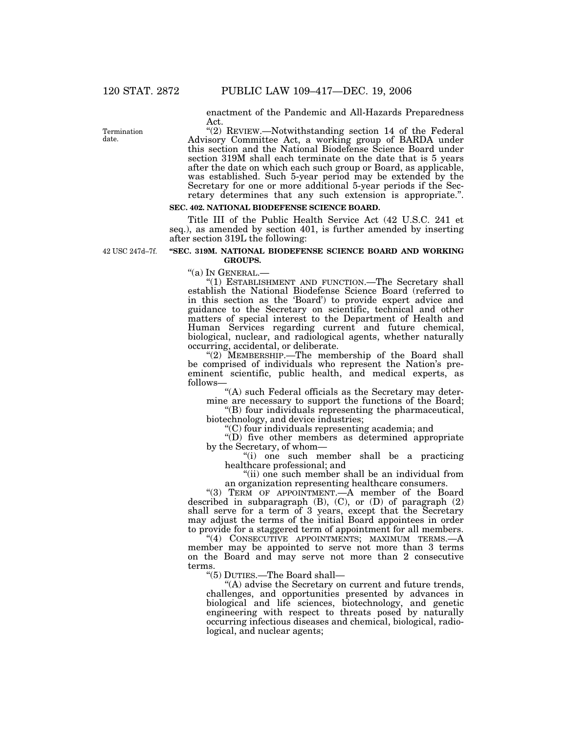enactment of the Pandemic and All-Hazards Preparedness Act.

"(2) REVIEW.-Notwithstanding section 14 of the Federal Advisory Committee Act, a working group of BARDA under this section and the National Biodefense Science Board under section 319M shall each terminate on the date that is 5 years after the date on which each such group or Board, as applicable, was established. Such 5-year period may be extended by the Secretary for one or more additional 5-year periods if the Secretary determines that any such extension is appropriate.''.

## **SEC. 402. NATIONAL BIODEFENSE SCIENCE BOARD.**

Title III of the Public Health Service Act (42 U.S.C. 241 et seq.), as amended by section 401, is further amended by inserting after section 319L the following:

42 USC 247d–7f.

#### **''SEC. 319M. NATIONAL BIODEFENSE SCIENCE BOARD AND WORKING GROUPS.**

''(a) IN GENERAL.— ''(1) ESTABLISHMENT AND FUNCTION.—The Secretary shall establish the National Biodefense Science Board (referred to in this section as the 'Board') to provide expert advice and guidance to the Secretary on scientific, technical and other matters of special interest to the Department of Health and Human Services regarding current and future chemical, biological, nuclear, and radiological agents, whether naturally occurring, accidental, or deliberate.

"(2) MEMBERSHIP.—The membership of the Board shall be comprised of individuals who represent the Nation's preeminent scientific, public health, and medical experts, as follows—

''(A) such Federal officials as the Secretary may determine are necessary to support the functions of the Board;

''(B) four individuals representing the pharmaceutical, biotechnology, and device industries;

''(C) four individuals representing academia; and

''(D) five other members as determined appropriate by the Secretary, of whom—

''(i) one such member shall be a practicing healthcare professional; and

"(ii) one such member shall be an individual from an organization representing healthcare consumers.

"(3) TERM OF APPOINTMENT.—A member of the Board described in subparagraph (B), (C), or (D) of paragraph (2) shall serve for a term of 3 years, except that the Secretary may adjust the terms of the initial Board appointees in order to provide for a staggered term of appointment for all members.

"(4) CONSECUTIVE APPOINTMENTS; MAXIMUM TERMS.-- A member may be appointed to serve not more than 3 terms on the Board and may serve not more than 2 consecutive terms.

''(5) DUTIES.—The Board shall—

"(A) advise the Secretary on current and future trends, challenges, and opportunities presented by advances in biological and life sciences, biotechnology, and genetic engineering with respect to threats posed by naturally occurring infectious diseases and chemical, biological, radiological, and nuclear agents;

Termination date.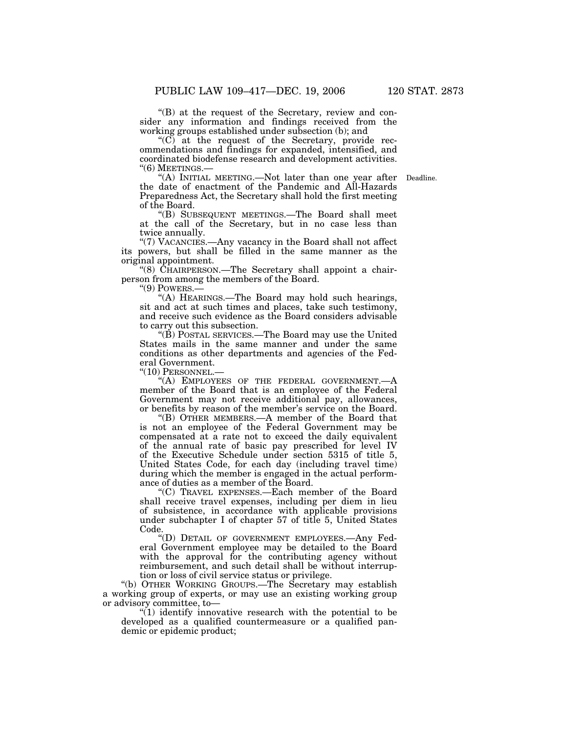''(B) at the request of the Secretary, review and consider any information and findings received from the working groups established under subsection (b); and

"(C) at the request of the Secretary, provide recommendations and findings for expanded, intensified, and coordinated biodefense research and development activities. "(6) MEETINGS.—<br>"(A) INITIAL MEETING.—Not later than one year after Deadline.

the date of enactment of the Pandemic and All-Hazards Preparedness Act, the Secretary shall hold the first meeting of the Board.

''(B) SUBSEQUENT MEETINGS.—The Board shall meet at the call of the Secretary, but in no case less than twice annually.

''(7) VACANCIES.—Any vacancy in the Board shall not affect its powers, but shall be filled in the same manner as the original appointment.

" $(8)$  CHAIRPERSON.—The Secretary shall appoint a chairperson from among the members of the Board.

''(9) POWERS.—

''(A) HEARINGS.—The Board may hold such hearings, sit and act at such times and places, take such testimony, and receive such evidence as the Board considers advisable to carry out this subsection.

''(B) POSTAL SERVICES.—The Board may use the United States mails in the same manner and under the same conditions as other departments and agencies of the Federal Government.

''(10) PERSONNEL.—

 $H(H)$  EMPLOYEES OF THE FEDERAL GOVERNMENT. member of the Board that is an employee of the Federal Government may not receive additional pay, allowances, or benefits by reason of the member's service on the Board.

''(B) OTHER MEMBERS.—A member of the Board that is not an employee of the Federal Government may be compensated at a rate not to exceed the daily equivalent of the annual rate of basic pay prescribed for level IV of the Executive Schedule under section 5315 of title 5, United States Code, for each day (including travel time) during which the member is engaged in the actual performance of duties as a member of the Board.

''(C) TRAVEL EXPENSES.—Each member of the Board shall receive travel expenses, including per diem in lieu of subsistence, in accordance with applicable provisions under subchapter I of chapter 57 of title 5, United States Code.

''(D) DETAIL OF GOVERNMENT EMPLOYEES.—Any Federal Government employee may be detailed to the Board with the approval for the contributing agency without reimbursement, and such detail shall be without interruption or loss of civil service status or privilege.

''(b) OTHER WORKING GROUPS.—The Secretary may establish a working group of experts, or may use an existing working group or advisory committee, to—

 $(1)$  identify innovative research with the potential to be developed as a qualified countermeasure or a qualified pandemic or epidemic product;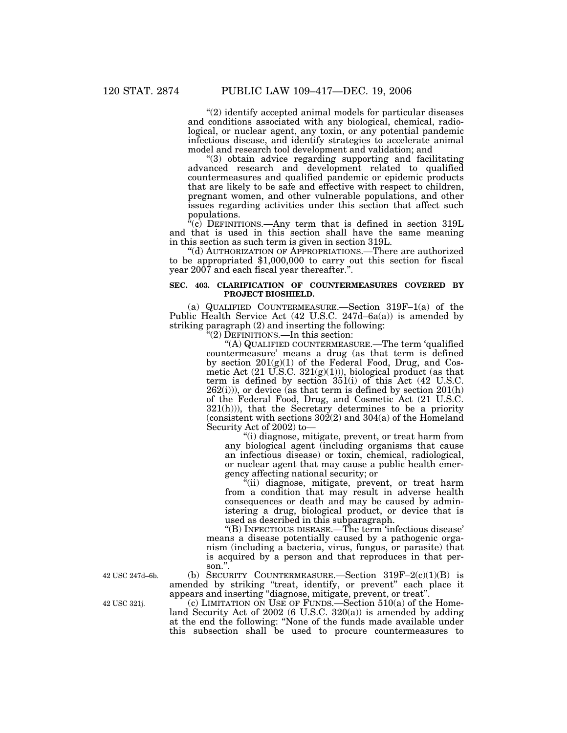''(2) identify accepted animal models for particular diseases and conditions associated with any biological, chemical, radiological, or nuclear agent, any toxin, or any potential pandemic infectious disease, and identify strategies to accelerate animal model and research tool development and validation; and

''(3) obtain advice regarding supporting and facilitating advanced research and development related to qualified countermeasures and qualified pandemic or epidemic products that are likely to be safe and effective with respect to children, pregnant women, and other vulnerable populations, and other issues regarding activities under this section that affect such populations.

 $\alpha$ <sup>c</sup>(c) DEFINITIONS.—Any term that is defined in section 319L and that is used in this section shall have the same meaning in this section as such term is given in section 319L.

''(d) AUTHORIZATION OF APPROPRIATIONS.—There are authorized to be appropriated \$1,000,000 to carry out this section for fiscal year 2007 and each fiscal year thereafter.''.

#### **SEC. 403. CLARIFICATION OF COUNTERMEASURES COVERED BY PROJECT BIOSHIELD.**

(a) QUALIFIED COUNTERMEASURE.—Section 319F–1(a) of the Public Health Service Act (42 U.S.C. 247d–6a(a)) is amended by striking paragraph (2) and inserting the following:

 $\tilde{C}(2)$  DEFINITIONS.—In this section:

''(A) QUALIFIED COUNTERMEASURE.—The term 'qualified countermeasure' means a drug (as that term is defined by section 201(g)(1) of the Federal Food, Drug, and Cosmetic Act  $(21 \text{ U.S.C. } 321(g)(1)))$ , biological product (as that term is defined by section 351(i) of this Act (42 U.S.C.  $262(i)$ ), or device (as that term is defined by section  $201(h)$ of the Federal Food, Drug, and Cosmetic Act (21 U.S.C.  $321(h)$ )), that the Secretary determines to be a priority (consistent with sections  $302(2)$  and  $304(a)$  of the Homeland Security Act of 2002) to—

''(i) diagnose, mitigate, prevent, or treat harm from any biological agent (including organisms that cause an infectious disease) or toxin, chemical, radiological, or nuclear agent that may cause a public health emergency affecting national security; or

''(ii) diagnose, mitigate, prevent, or treat harm from a condition that may result in adverse health consequences or death and may be caused by administering a drug, biological product, or device that is used as described in this subparagraph.

''(B) INFECTIOUS DISEASE.—The term 'infectious disease' means a disease potentially caused by a pathogenic organism (including a bacteria, virus, fungus, or parasite) that is acquired by a person and that reproduces in that person."

(b) SECURITY COUNTERMEASURE. Section  $319F-2(c)(1)(B)$  is amended by striking ''treat, identify, or prevent'' each place it appears and inserting ''diagnose, mitigate, prevent, or treat''.

(c) LIMITATION ON USE OF FUNDS.—Section 510(a) of the Homeland Security Act of 2002 (6 U.S.C. 320(a)) is amended by adding at the end the following: ''None of the funds made available under this subsection shall be used to procure countermeasures to

42 USC 247d–6b.

42 USC 321j.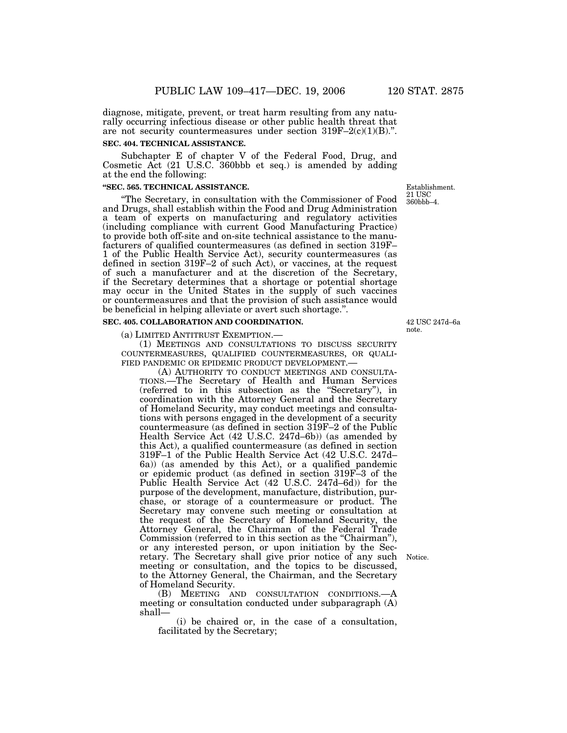diagnose, mitigate, prevent, or treat harm resulting from any naturally occurring infectious disease or other public health threat that are not security countermeasures under section  $319F-2(c)(1)(B)$ .".

#### **SEC. 404. TECHNICAL ASSISTANCE.**

Subchapter E of chapter V of the Federal Food, Drug, and Cosmetic Act (21 U.S.C. 360bbb et seq.) is amended by adding at the end the following:

#### **''SEC. 565. TECHNICAL ASSISTANCE.**

''The Secretary, in consultation with the Commissioner of Food and Drugs, shall establish within the Food and Drug Administration a team of experts on manufacturing and regulatory activities (including compliance with current Good Manufacturing Practice) to provide both off-site and on-site technical assistance to the manufacturers of qualified countermeasures (as defined in section 319F– 1 of the Public Health Service Act), security countermeasures (as defined in section 319F–2 of such Act), or vaccines, at the request of such a manufacturer and at the discretion of the Secretary, if the Secretary determines that a shortage or potential shortage may occur in the United States in the supply of such vaccines or countermeasures and that the provision of such assistance would be beneficial in helping alleviate or avert such shortage.''.

#### **SEC. 405. COLLABORATION AND COORDINATION.**

(a) LIMITED ANTITRUST EXEMPTION.—

(1) MEETINGS AND CONSULTATIONS TO DISCUSS SECURITY COUNTERMEASURES, QUALIFIED COUNTERMEASURES, OR QUALI-FIED PANDEMIC OR EPIDEMIC PRODUCT DEVELOPMENT.—

(A) AUTHORITY TO CONDUCT MEETINGS AND CONSULTA-TIONS.—The Secretary of Health and Human Services (referred to in this subsection as the ''Secretary''), in coordination with the Attorney General and the Secretary of Homeland Security, may conduct meetings and consultations with persons engaged in the development of a security countermeasure (as defined in section 319F–2 of the Public Health Service Act (42 U.S.C. 247d–6b)) (as amended by this Act), a qualified countermeasure (as defined in section 319F–1 of the Public Health Service Act (42 U.S.C. 247d– 6a)) (as amended by this Act), or a qualified pandemic or epidemic product (as defined in section 319F–3 of the Public Health Service Act (42 U.S.C. 247d–6d)) for the purpose of the development, manufacture, distribution, purchase, or storage of a countermeasure or product. The Secretary may convene such meeting or consultation at the request of the Secretary of Homeland Security, the Attorney General, the Chairman of the Federal Trade Commission (referred to in this section as the "Chairman"), or any interested person, or upon initiation by the Secretary. The Secretary shall give prior notice of any such meeting or consultation, and the topics to be discussed, to the Attorney General, the Chairman, and the Secretary of Homeland Security.

(B) MEETING AND CONSULTATION CONDITIONS.—A meeting or consultation conducted under subparagraph (A) shall—

(i) be chaired or, in the case of a consultation, facilitated by the Secretary;

Establishment. 21 USC 360bbb–4.

42 USC 247d–6a note.

Notice.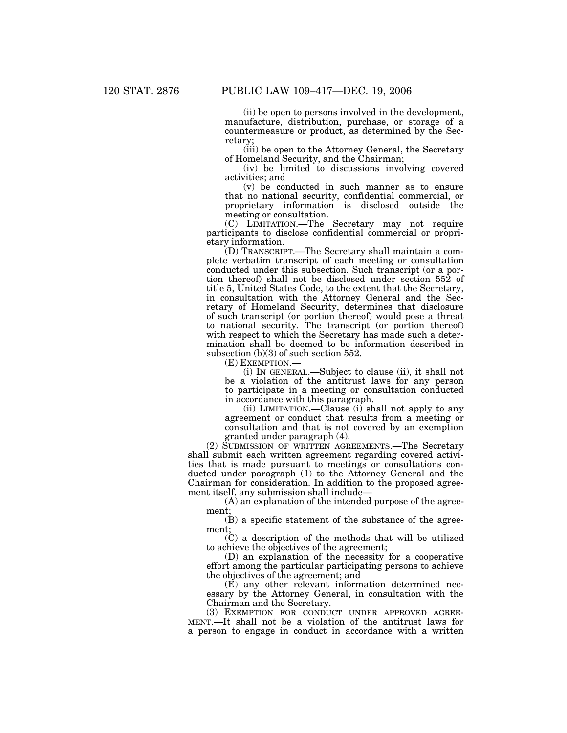(ii) be open to persons involved in the development, manufacture, distribution, purchase, or storage of a countermeasure or product, as determined by the Secretary;

(iii) be open to the Attorney General, the Secretary of Homeland Security, and the Chairman;

(iv) be limited to discussions involving covered activities; and

(v) be conducted in such manner as to ensure that no national security, confidential commercial, or proprietary information is disclosed outside the meeting or consultation.

(C) LIMITATION.—The Secretary may not require participants to disclose confidential commercial or proprietary information.

(D) TRANSCRIPT.—The Secretary shall maintain a complete verbatim transcript of each meeting or consultation conducted under this subsection. Such transcript (or a portion thereof) shall not be disclosed under section 552 of title 5, United States Code, to the extent that the Secretary, in consultation with the Attorney General and the Secretary of Homeland Security, determines that disclosure of such transcript (or portion thereof) would pose a threat to national security. The transcript (or portion thereof) with respect to which the Secretary has made such a determination shall be deemed to be information described in subsection (b)(3) of such section 552.

(E) EXEMPTION.—

(i) IN GENERAL.—Subject to clause (ii), it shall not be a violation of the antitrust laws for any person to participate in a meeting or consultation conducted in accordance with this paragraph.

(ii) LIMITATION.—Clause (i) shall not apply to any agreement or conduct that results from a meeting or consultation and that is not covered by an exemption granted under paragraph (4).

(2) SUBMISSION OF WRITTEN AGREEMENTS.—The Secretary shall submit each written agreement regarding covered activities that is made pursuant to meetings or consultations conducted under paragraph (1) to the Attorney General and the Chairman for consideration. In addition to the proposed agreement itself, any submission shall include—

(A) an explanation of the intended purpose of the agreement;

(B) a specific statement of the substance of the agreement;

(C) a description of the methods that will be utilized to achieve the objectives of the agreement;

(D) an explanation of the necessity for a cooperative effort among the particular participating persons to achieve the objectives of the agreement; and

(E) any other relevant information determined necessary by the Attorney General, in consultation with the Chairman and the Secretary.<br>
(3) EXEMPTION FOR CONDUCT UNDER APPROVED AGREE-

MENT.—It shall not be a violation of the antitrust laws for a person to engage in conduct in accordance with a written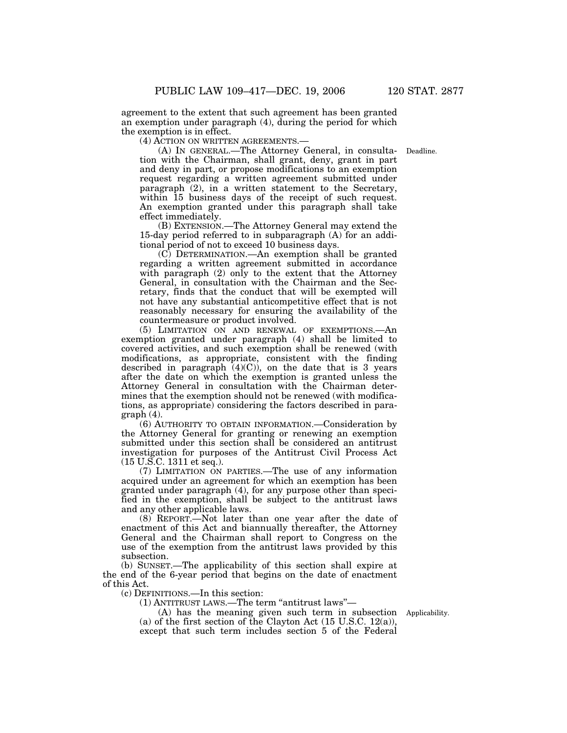agreement to the extent that such agreement has been granted an exemption under paragraph (4), during the period for which the exemption is in effect.

(4) ACTION ON WRITTEN AGREEMENTS.—

(A) IN GENERAL.—The Attorney General, in consulta-Deadline. tion with the Chairman, shall grant, deny, grant in part and deny in part, or propose modifications to an exemption request regarding a written agreement submitted under paragraph (2), in a written statement to the Secretary, within 15 business days of the receipt of such request. An exemption granted under this paragraph shall take effect immediately.

(B) EXTENSION.—The Attorney General may extend the 15-day period referred to in subparagraph (A) for an additional period of not to exceed 10 business days.

(C) DETERMINATION.—An exemption shall be granted regarding a written agreement submitted in accordance with paragraph (2) only to the extent that the Attorney General, in consultation with the Chairman and the Secretary, finds that the conduct that will be exempted will not have any substantial anticompetitive effect that is not reasonably necessary for ensuring the availability of the countermeasure or product involved.

(5) LIMITATION ON AND RENEWAL OF EXEMPTIONS.—An exemption granted under paragraph (4) shall be limited to covered activities, and such exemption shall be renewed (with modifications, as appropriate, consistent with the finding described in paragraph  $(4)(C)$ , on the date that is 3 years after the date on which the exemption is granted unless the Attorney General in consultation with the Chairman determines that the exemption should not be renewed (with modifications, as appropriate) considering the factors described in paragraph (4).

(6) AUTHORITY TO OBTAIN INFORMATION.—Consideration by the Attorney General for granting or renewing an exemption submitted under this section shall be considered an antitrust investigation for purposes of the Antitrust Civil Process Act (15 U.S.C. 1311 et seq.).

(7) LIMITATION ON PARTIES.—The use of any information acquired under an agreement for which an exemption has been granted under paragraph (4), for any purpose other than specified in the exemption, shall be subject to the antitrust laws and any other applicable laws.

(8) REPORT.—Not later than one year after the date of enactment of this Act and biannually thereafter, the Attorney General and the Chairman shall report to Congress on the use of the exemption from the antitrust laws provided by this subsection.

(b) SUNSET.—The applicability of this section shall expire at the end of the 6-year period that begins on the date of enactment of this Act.

(c) DEFINITIONS.—In this section:

(1) ANTITRUST LAWS.—The term ''antitrust laws''—

(A) has the meaning given such term in subsection Applicability. (a) of the first section of the Clayton Act  $(15 \text{ U.S.C. } 12(a)),$ except that such term includes section 5 of the Federal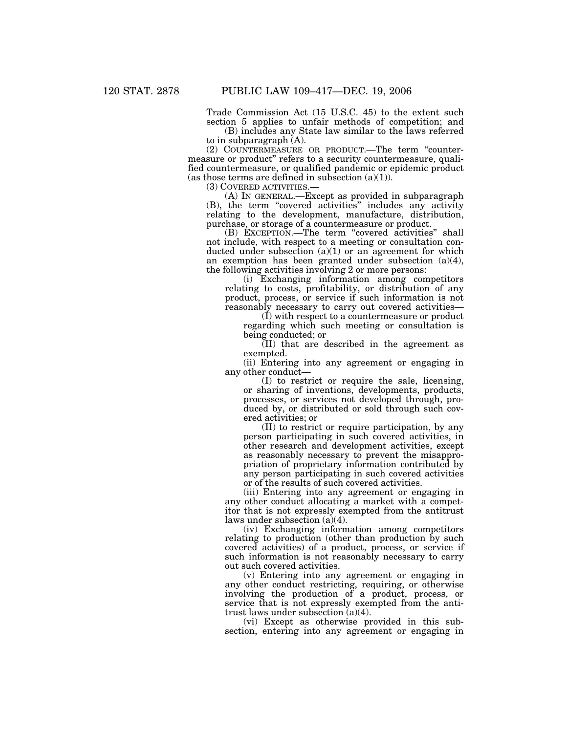Trade Commission Act (15 U.S.C. 45) to the extent such section 5 applies to unfair methods of competition; and

(B) includes any State law similar to the laws referred to in subparagraph (A).

(2) COUNTERMEASURE OR PRODUCT.—The term ''countermeasure or product'' refers to a security countermeasure, qualified countermeasure, or qualified pandemic or epidemic product (as those terms are defined in subsection  $(a)(1)$ ).

(3) COVERED ACTIVITIES.— (A) IN GENERAL.—Except as provided in subparagraph (B), the term "covered activities" includes any activity relating to the development, manufacture, distribution, purchase, or storage of a countermeasure or product.

(B) EXCEPTION.—The term ''covered activities'' shall not include, with respect to a meeting or consultation conducted under subsection  $(a)(1)$  or an agreement for which an exemption has been granted under subsection (a)(4), the following activities involving 2 or more persons:

(i) Exchanging information among competitors relating to costs, profitability, or distribution of any product, process, or service if such information is not reasonably necessary to carry out covered activities—

(I) with respect to a countermeasure or product regarding which such meeting or consultation is being conducted; or

(II) that are described in the agreement as exempted.

(ii) Entering into any agreement or engaging in any other conduct—

(I) to restrict or require the sale, licensing, or sharing of inventions, developments, products, processes, or services not developed through, produced by, or distributed or sold through such covered activities; or

(II) to restrict or require participation, by any person participating in such covered activities, in other research and development activities, except as reasonably necessary to prevent the misappropriation of proprietary information contributed by any person participating in such covered activities or of the results of such covered activities.

(iii) Entering into any agreement or engaging in any other conduct allocating a market with a competitor that is not expressly exempted from the antitrust laws under subsection (a)(4).

(iv) Exchanging information among competitors relating to production (other than production by such covered activities) of a product, process, or service if such information is not reasonably necessary to carry out such covered activities.

(v) Entering into any agreement or engaging in any other conduct restricting, requiring, or otherwise involving the production of a product, process, or service that is not expressly exempted from the antitrust laws under subsection (a)(4).

(vi) Except as otherwise provided in this subsection, entering into any agreement or engaging in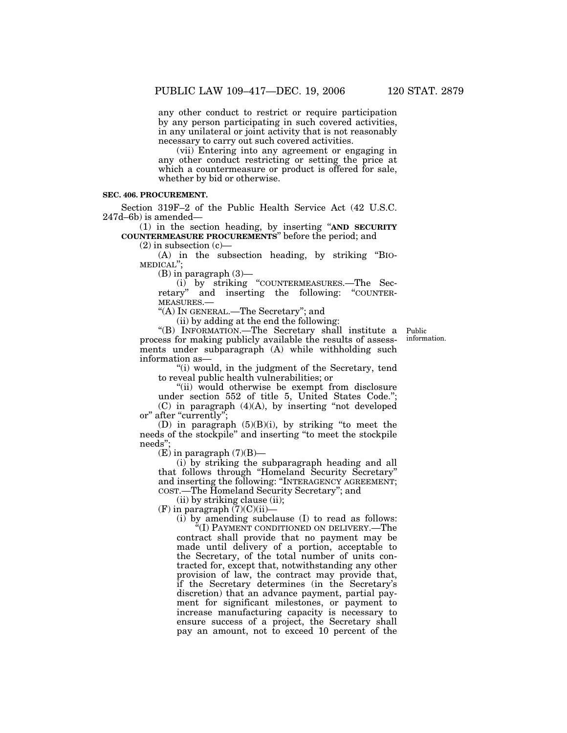any other conduct to restrict or require participation by any person participating in such covered activities, in any unilateral or joint activity that is not reasonably necessary to carry out such covered activities.

(vii) Entering into any agreement or engaging in any other conduct restricting or setting the price at which a countermeasure or product is offered for sale, whether by bid or otherwise.

#### **SEC. 406. PROCUREMENT.**

Section 319F–2 of the Public Health Service Act (42 U.S.C. 247d–6b) is amended—

(1) in the section heading, by inserting ''**AND SECURITY COUNTERMEASURE PROCUREMENTS**'' before the period; and

 $(2)$  in subsection  $(c)$ —

(A) in the subsection heading, by striking ''BIO-MEDICAL'';

(B) in paragraph (3)—

(i) by striking ''COUNTERMEASURES.—The Secretary'' and inserting the following: ''COUNTERretary" and inserting the following: "COUNTER-MEASURES.-

''(A) IN GENERAL.—The Secretary''; and

(ii) by adding at the end the following:

''(B) INFORMATION.—The Secretary shall institute a process for making publicly available the results of assessments under subparagraph (A) while withholding such information as—

Public information.

''(i) would, in the judgment of the Secretary, tend to reveal public health vulnerabilities; or

"(ii) would otherwise be exempt from disclosure under section 552 of title 5, United States Code.'';  $(C)$  in paragraph  $(4)(A)$ , by inserting "not developed or" after "currently";

(D) in paragraph (5)(B)(i), by striking ''to meet the needs of the stockpile'' and inserting ''to meet the stockpile needs'';

 $(E)$  in paragraph  $(7)(B)$ —

(i) by striking the subparagraph heading and all that follows through ''Homeland Security Secretary'' and inserting the following: ''INTERAGENCY AGREEMENT; COST.—The Homeland Security Secretary''; and

(ii) by striking clause (ii);

 $(F)$  in paragraph  $(7)(C)(ii)$ -

(i) by amending subclause (I) to read as follows:

'(I) PAYMENT CONDITIONED ON DELIVERY.—The contract shall provide that no payment may be made until delivery of a portion, acceptable to the Secretary, of the total number of units contracted for, except that, notwithstanding any other provision of law, the contract may provide that, if the Secretary determines (in the Secretary's discretion) that an advance payment, partial payment for significant milestones, or payment to increase manufacturing capacity is necessary to ensure success of a project, the Secretary shall pay an amount, not to exceed 10 percent of the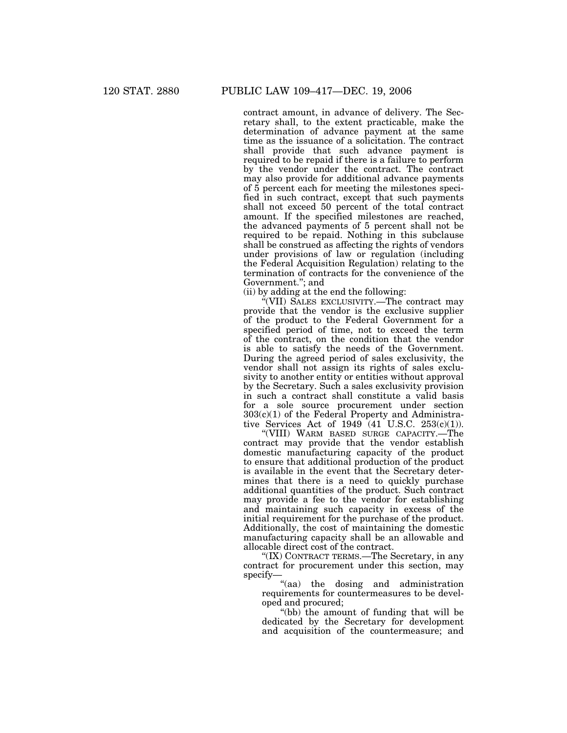contract amount, in advance of delivery. The Secretary shall, to the extent practicable, make the determination of advance payment at the same time as the issuance of a solicitation. The contract shall provide that such advance payment is required to be repaid if there is a failure to perform by the vendor under the contract. The contract may also provide for additional advance payments of 5 percent each for meeting the milestones specified in such contract, except that such payments shall not exceed 50 percent of the total contract amount. If the specified milestones are reached, the advanced payments of 5 percent shall not be required to be repaid. Nothing in this subclause shall be construed as affecting the rights of vendors under provisions of law or regulation (including the Federal Acquisition Regulation) relating to the termination of contracts for the convenience of the Government.''; and

(ii) by adding at the end the following:

''(VII) SALES EXCLUSIVITY.—The contract may provide that the vendor is the exclusive supplier of the product to the Federal Government for a specified period of time, not to exceed the term of the contract, on the condition that the vendor is able to satisfy the needs of the Government. During the agreed period of sales exclusivity, the vendor shall not assign its rights of sales exclusivity to another entity or entities without approval by the Secretary. Such a sales exclusivity provision in such a contract shall constitute a valid basis for a sole source procurement under section 303(c)(1) of the Federal Property and Administrative Services Act of 1949 (41 U.S.C. 253(c)(1)).

''(VIII) WARM BASED SURGE CAPACITY.—The contract may provide that the vendor establish domestic manufacturing capacity of the product to ensure that additional production of the product is available in the event that the Secretary determines that there is a need to quickly purchase additional quantities of the product. Such contract may provide a fee to the vendor for establishing and maintaining such capacity in excess of the initial requirement for the purchase of the product. Additionally, the cost of maintaining the domestic manufacturing capacity shall be an allowable and allocable direct cost of the contract.

''(IX) CONTRACT TERMS.—The Secretary, in any contract for procurement under this section, may specify—

"(aa) the dosing and administration requirements for countermeasures to be developed and procured;

''(bb) the amount of funding that will be dedicated by the Secretary for development and acquisition of the countermeasure; and